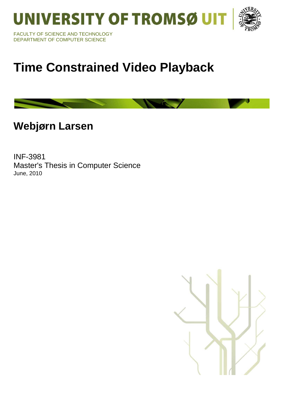UNIVERSITY OF TROMSØ UIT



FACULTY OF SCIENCE AND TECHNOLOGY DEPARTMENT OF COMPUTER SCIENCE

# **Time Constrained Video Playback**

**Webjørn Larsen** 

INF-3981 Master's Thesis in Computer Science June, 2010

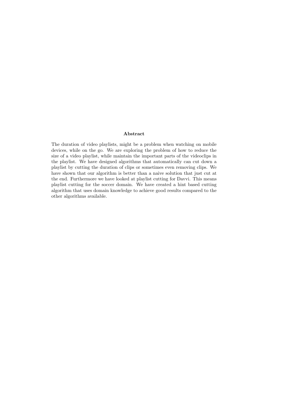#### Abstract

The duration of video playlists, might be a problem when watching on mobile devices, while on the go. We are exploring the problem of how to reduce the size of a video playlist, while maintain the important parts of the videoclips in the playlist. We have designed algorithms that automatically can cut down a playlist by cutting the duration of clips or sometimes even removing clips. We have shown that our algorithm is better than a naive solution that just cut at the end. Furthermore we have looked at playlist cutting for Davvi. This means playlist cutting for the soccer domain. We have created a hint based cutting algorithm that uses domain knowledge to achieve good results compared to the other algorithms available.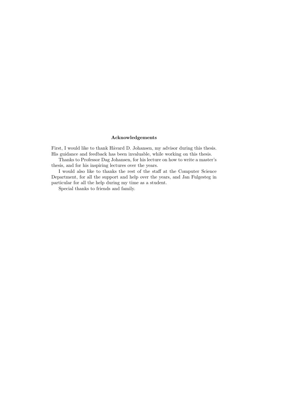#### Acknowledgements

First, I would like to thank Håvard D. Johansen, my advisor during this thesis. His guidance and feedback has been invaluable, while working on this thesis.

Thanks to Professor Dag Johansen, for his lecture on how to write a master's thesis, and for his inspiring lectures over the years.

I would also like to thanks the rest of the staff at the Computer Science Department, for all the support and help over the years, and Jan Fulgesteg in particular for all the help during my time as a student.

Special thanks to friends and family.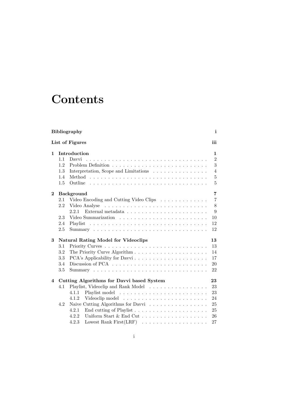## **Contents**

| Bibliography<br>$\mathbf{i}$      |                                                  |                                                                      |                |  |
|-----------------------------------|--------------------------------------------------|----------------------------------------------------------------------|----------------|--|
| List of Figures<br>iii            |                                                  |                                                                      |                |  |
| 1                                 | Introduction                                     |                                                                      |                |  |
|                                   | 1.1                                              | Davvi                                                                | $\overline{2}$ |  |
|                                   | 1.2                                              |                                                                      | 3              |  |
|                                   | 1.3                                              | Interpretation, Scope and Limitations                                | $\overline{4}$ |  |
|                                   | 1.4                                              |                                                                      | 5              |  |
|                                   | 1.5                                              |                                                                      | 5              |  |
| $\mathbf{2}$<br><b>Background</b> |                                                  |                                                                      | 7              |  |
|                                   | 2.1                                              | Video Encoding and Cutting Video Clips $\ldots \ldots \ldots \ldots$ | 7              |  |
|                                   | 2.2                                              |                                                                      | 8              |  |
|                                   |                                                  | 2.2.1                                                                | 9              |  |
|                                   | 2.3                                              |                                                                      | 10             |  |
|                                   | 2.4                                              |                                                                      | 12             |  |
|                                   | 2.5                                              |                                                                      | 12             |  |
| 3                                 | <b>Natural Rating Model for Videoclips</b><br>13 |                                                                      |                |  |
|                                   | 3.1                                              |                                                                      | 13             |  |
|                                   | 3.2                                              |                                                                      | 14             |  |
|                                   | 3.3                                              |                                                                      | 17             |  |
|                                   | 3.4                                              |                                                                      | 20             |  |
|                                   | 3.5                                              |                                                                      | 22             |  |
| 4                                 |                                                  | Cutting Algorithms for Davvi based System                            | 23             |  |
|                                   | 4.1                                              | Playlist, Videoclip and Rank Model                                   | 23             |  |
|                                   |                                                  | 4.1.1                                                                | 23             |  |
|                                   |                                                  | 4.1.2                                                                | 24             |  |
|                                   | 4.2                                              | Naive Cutting Algorithms for Davvi                                   | 25             |  |
|                                   |                                                  | 4.2.1                                                                | 25             |  |
|                                   |                                                  | Uniform Start & End Cut<br>4.2.2                                     | 26             |  |
|                                   |                                                  | 4.2.3                                                                | 27             |  |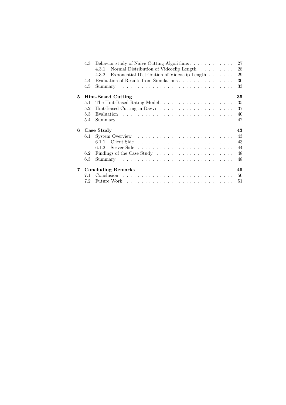|    | 4.3                             | 27<br>Behavior study of Naive Cutting Algorithms                                                                              |  |  |  |  |  |  |
|----|---------------------------------|-------------------------------------------------------------------------------------------------------------------------------|--|--|--|--|--|--|
|    |                                 | 28<br>Normal Distribution of Videoclip Length<br>4.3.1                                                                        |  |  |  |  |  |  |
|    |                                 | 29<br>Exponential Distribution of Videoclip Length<br>4.3.2                                                                   |  |  |  |  |  |  |
|    | 4.4                             | Evaluation of Results from Simulations<br>30                                                                                  |  |  |  |  |  |  |
|    | 4.5                             | 33                                                                                                                            |  |  |  |  |  |  |
| 5. | 35<br><b>Hint-Based Cutting</b> |                                                                                                                               |  |  |  |  |  |  |
|    | 5.1                             | 35                                                                                                                            |  |  |  |  |  |  |
|    | 5.2                             | 37                                                                                                                            |  |  |  |  |  |  |
|    | 5.3                             | 40                                                                                                                            |  |  |  |  |  |  |
|    | 5.4                             | 42                                                                                                                            |  |  |  |  |  |  |
| 6  | Case Study<br>43                |                                                                                                                               |  |  |  |  |  |  |
|    | 6.1                             | 43                                                                                                                            |  |  |  |  |  |  |
|    |                                 | 43<br>611                                                                                                                     |  |  |  |  |  |  |
|    |                                 | 44<br>Server Side received and servers and servers servers and servers and servers and servers are served and server<br>6.1.2 |  |  |  |  |  |  |
|    | 6.2                             | 48                                                                                                                            |  |  |  |  |  |  |
|    | 6.3                             | 48                                                                                                                            |  |  |  |  |  |  |
| 7  | <b>Concluding Remarks</b><br>49 |                                                                                                                               |  |  |  |  |  |  |
|    | 7.1                             | 50                                                                                                                            |  |  |  |  |  |  |
|    | 7.2                             | 51                                                                                                                            |  |  |  |  |  |  |
|    |                                 |                                                                                                                               |  |  |  |  |  |  |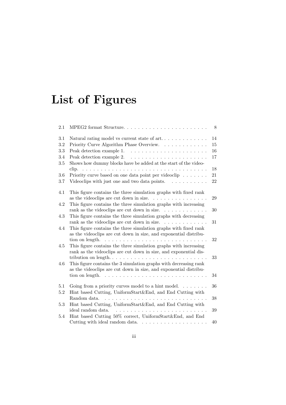# List of Figures

| 2.1 | MPEG2 format Structure                                                                                                                           | 8  |
|-----|--------------------------------------------------------------------------------------------------------------------------------------------------|----|
| 3.1 | Natural rating model vs current state of $art. \ldots \ldots \ldots \ldots$                                                                      | 14 |
| 3.2 | Priority Curve Algorithm Phase Overview.                                                                                                         | 15 |
| 3.3 |                                                                                                                                                  | 16 |
| 3.4 |                                                                                                                                                  | 17 |
| 3.5 | Shows how dummy blocks have be added at the start of the video-                                                                                  |    |
|     |                                                                                                                                                  | 18 |
| 3.6 | Priority curve based on one data point per videoclip $\ldots \ldots$                                                                             | 21 |
| 3.7 | Videoclips with just one and two data points. $\ldots \ldots \ldots$                                                                             | 22 |
| 4.1 | This figure contains the three simulation graphs with fixed rank<br>as the videoclips are cut down in size. $\ldots \ldots \ldots \ldots \ldots$ | 29 |
| 4.2 | This figure contains the three simulation graphs with increasing                                                                                 |    |
|     | rank as the videoclips are cut down in size. $\ldots \ldots \ldots \ldots$                                                                       | 30 |
| 4.3 | This figure contains the three simulation graphs with decreasing<br>rank as the videoclips are cut down in size. $\ldots \ldots \ldots \ldots$   | 31 |
| 4.4 | This figure contains the three simulation graphs with fixed rank<br>as the videoclips are cut down in size, and exponential distribu-            |    |
|     | tion on length. $\ldots \ldots \ldots \ldots \ldots \ldots \ldots \ldots \ldots \ldots$                                                          | 32 |
| 4.5 | This figure contains the three simulation graphs with increasing<br>rank as the videoclips are cut down in size, and exponential dis-            |    |
|     |                                                                                                                                                  | 33 |
| 4.6 | This figure contains the 3 simulation graphs with decreasing rank<br>as the videoclips are cut down in size, and exponential distribu-           |    |
|     | tion on length.                                                                                                                                  | 34 |
| 5.1 | Going from a priority curves model to a hint model. $\dots \dots$                                                                                | 36 |
| 5.2 | Hint based Cutting, UniformStart&End, and End Cutting with<br>Random data.<br>.<br>.                                                             | 38 |
| 5.3 | Hint based Cutting, UniformStart&End, and End Cutting with                                                                                       |    |
|     | ideal random data.<br>.                                                                                                                          | 39 |
| 5.4 | Hint based Cutting 50% correct, UniformStart&End, and End                                                                                        |    |
|     | Cutting with ideal random data. $\ldots \ldots \ldots \ldots \ldots \ldots$                                                                      | 40 |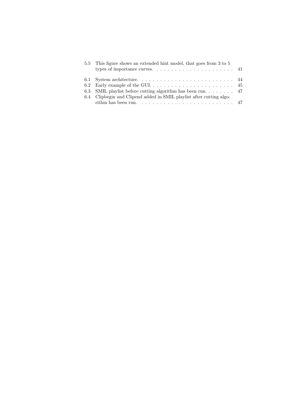| 5.5 This figure shows an extended hint model, that goes from 3 to 5                     |  |
|-----------------------------------------------------------------------------------------|--|
| types of importance curves. $\dots \dots \dots \dots \dots \dots \dots \dots \dots$ 41  |  |
|                                                                                         |  |
|                                                                                         |  |
| 6.3 SMIL playlist before cutting algorithm has been run 47                              |  |
| 6.4 Clipbegin and Clipend added in SMIL playlist after cutting algo-                    |  |
| rithm has been run. $\ldots \ldots \ldots \ldots \ldots \ldots \ldots \ldots \ldots 47$ |  |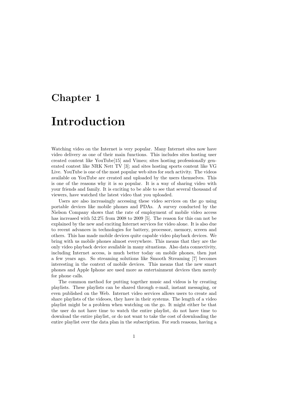# Chapter 1 Introduction

Watching video on the Internet is very popular. Many Internet sites now have video delivery as one of their main functions. This includes sites hosting user created content like YouTube[15] and Vimeo; sites hosting professionally generated contest like NRK Nett TV [3]; and sites hosting sports content like VG Live. YouTube is one of the most popular web sites for such activity. The videos available on YouTube are created and uploaded by the users themselves. This is one of the reasons why it is so popular. It is a way of sharing video with your friends and family. It is exciting to be able to see that several thousand of viewers, have watched the latest video that you uploaded.

Users are also increasingly accessing these video services on the go using portable devices like mobile phones and PDAs. A survey conducted by the Nielson Company shows that the rate of employment of mobile video access has increased with 52.2% from 2008 to 2009 [5]. The reason for this can not be explained by the new and exciting Internet services for video alone. It is also due to recent advances in technologies for battery, processor, memory, screen and others. This has made mobile devices quite capable video playback devices. We bring with us mobile phones almost everywhere. This means that they are the only video playback device available in many situations. Also data connectivity, including Internet access, is much better today on mobile phones, then just a few years ago. So streaming solutions like Smooth Streaming [7] becomes interesting in the context of mobile devices. This means that the new smart phones and Apple Iphone are used more as entertainment devices then merely for phone calls.

The common method for putting together music and videos is by creating playlists. These playlists can be shared through e-mail, instant messaging, or even published on the Web. Internet video services allows users to create and share playlists of the videoes, they have in their systems. The length of a video playlist might be a problem when watching on the go. It might either be that the user do not have time to watch the entire playlist, do not have time to download the entire playlist, or do not want to take the cost of downloading the entire playlist over the data plan in the subscription. For such reasons, having a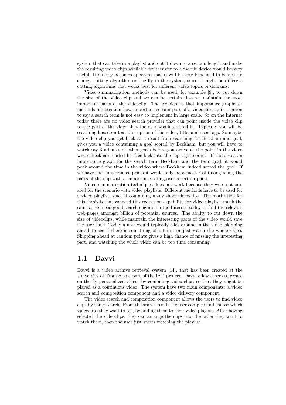system that can take in a playlist and cut it down to a certain length and make the resulting video clips available for transfer to a mobile device would be very useful. It quickly becomes apparent that it will be very beneficial to be able to change cutting algorithm on the fly in the system, since it might be different cutting algorithms that works best for different video topics or domains.

Video summarization methods can be used, for example [9], to cut down the size of the video clip and we can be certain that we maintain the most important parts of the videoclip. The problem is that importance graphs or methods of detection how important certain part of a videoclip are in relation to say a search term is not easy to implement in large scale. So on the Internet today there are no video search provider that can point inside the video clip to the part of the video that the user was interested in. Typically you will be searching based on text description of the video, title, and user tags. So maybe the video clip you get back as a result from searching for Beckham and goal, gives you a video containing a goal scored by Beckham, but you will have to watch say 3 minutes of other goals before you arrive at the point in the video where Beckham curled his free kick into the top right corner. If there was an importance graph for the search term Beckham and the term goal, it would peak around the time in the video where Beckham indeed scored the goal. If we have such importance peaks it would only be a matter of taking along the parts of the clip with a importance rating over a certain point.

Video summarization techniques does not work because they were not created for the scenario with video playlists. Different methods have to be used for a video playlist, since it containing many short videoclips. The motivation for this thesis is that we need this reduction capability for video playlist, much the same as we need good search engines on the Internet today to find the relevant web-pages amongst billion of potential sources. The ability to cut down the size of videoclips, while maintain the interesting parts of the video would save the user time. Today a user would typically click around in the video, skipping ahead to see if there is something of interest or just watch the whole video. Skipping ahead at random points gives a high chance of missing the interesting part, and watching the whole video can be too time consuming.

### 1.1 Davvi

Davvi is a video archive retrieval system [14], that has been created at the University of Tromsø as a part of the iAD project. Davvi allows users to create on-the-fly personalized videos by combining video clips, so that they might be played as a continuous video. The system have two main components: a video search and composition component and a video delivery component.

The video search and composition component allows the users to find video clips by using search. From the search result the user can pick and choose which videoclips they want to see, by adding them to their video playlist. After having selected the videoclips, they can arrange the clips into the order they want to watch them, then the user just starts watching the playlist.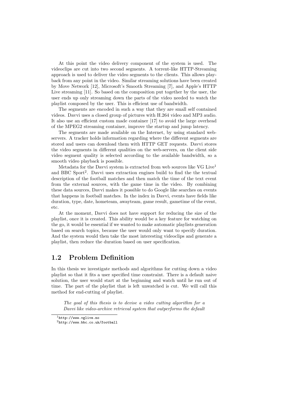At this point the video delivery component of the system is used. The videoclips are cut into two second segments. A torrent-like HTTP-Streaming approach is used to deliver the video segments to the clients. This allows playback from any point in the video. Similar streaming solutions have been created by Move Network [12], Microsoft's Smooth Streaming [7], and Apple's HTTP Live streaming [11]. So based on the composition put together by the user, the user ends up only streaming down the parts of the video needed to watch the playlist composed by the user. This is efficient use of bandwidth.

The segments are encoded in such a way that they are small self contained videos. Davvi uses a closed group of pictures with H.264 video and MP3 audio. It also use an efficient custom made container [17] to avoid the large overhead of the MPEG2 streaming container, improve the startup and jump latency.

The segments are made available on the Internet, by using standard webservers. A tracker holds information regarding where the different segments are stored and users can download them with HTTP GET requests. Davvi stores the video segments in different qualities on the web-servers, on the client side video segment quality is selected according to the available bandwidth, so a smooth video playback is possible.

Metadata for the Davvi system is extracted from web sources like VG Live<sup>1</sup> and BBC Sport<sup>2</sup>. Davvi uses extraction engines build to find the the textual description of the football matches and then match the time of the text event from the external sources, with the game time in the video. By combining these data sources, Davvi makes it possible to do Google like searches on events that happens in football matches. In the index in Davvi, events have fields like duration, type, date, hometeam, awayteam, game result, gametime of the event, etc.

At the moment, Davvi does not have support for reducing the size of the playlist, once it is created. This ability would be a key feature for watching on the go, it would be essential if we wanted to make automatic playlists generation based on search topics, because the user would only want to specify duration. And the system would then take the most interesting videoclips and generate a playlist, then reduce the duration based on user specification.

## 1.2 Problem Definition

In this thesis we investigate methods and algorithms for cutting down a video playlist so that it fits a user specified time constraint. There is a default naive solution, the user would start at the beginning and watch until he run out of time. The part of the playlist that is left unwatched is cut. We will call this method for end-cutting of playlist.

*The goal of this thesis is to devise a video cutting algorithm for a Davvi like video-archive retrieval system that outperforms the default*

 $^1$ http://www.vglive.no

 $^{2}$ http://www.bbc.co.uk/football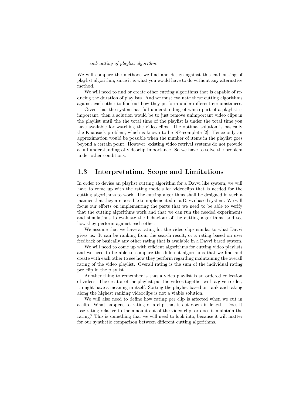#### *end-cutting of playlist algorithm.*

We will compare the methods we find and design against this end-cutting of playlist algorithm, since it is what you would have to do without any alternative method.

We will need to find or create other cutting algorithms that is capable of reducing the duration of playlists. And we must evaluate these cutting algorithms against each other to find out how they perform under different circumstances.

Given that the system has full understanding of which part of a playlist is important, then a solution would be to just remove unimportant video clips in the playlist until the the total time of the playlist is under the total time you have available for watching the video clips. The optimal solution is basically the Knapsack problem, which is known to be NP-complete [2]. Hence only an approximation would be possible when the number of items in the playlist goes beyond a certain point. However, existing video retrival systems do not provide a full understanding of videoclip importance. So we have to solve the problem under other conditions.

## 1.3 Interpretation, Scope and Limitations

In order to devise an playlist cutting algorithm for a Davvi like system, we will have to come up with the rating models for videoclips that is needed for the cutting algorithms to work. The cutting algorithms shall be designed in such a manner that they are possible to implemented in a Davvi based system. We will focus our efforts on implementing the parts that we need to be able to verify that the cutting algorithms work and that we can run the needed experiments and simulations to evaluate the behaviour of the cutting algorithms, and see how they perform against each other.

We assume that we have a rating for the video clips similar to what Davvi gives us. It can be ranking from the search result, or a rating based on user feedback or basically any other rating that is available in a Davvi based system.

We will need to come up with efficient algorithms for cutting video playlists and we need to be able to compare the different algorithms that we find and create with each other to see how they perform regarding maintaining the overall rating of the video playlist. Overall rating is the sum of the individual rating per clip in the playlist.

Another thing to remember is that a video playlist is an ordered collection of videos. The creator of the playlist put the videos together with a given order, it might have a meaning in itself. Sorting the playlist based on rank and taking along the highest ranking videoclips is not a viable solution.

We will also need to define how rating per clip is affected when we cut in a clip. What happens to rating of a clip that is cut down in length. Does it lose rating relative to the amount cut of the video clip, or does it maintain the rating? This is something that we will need to look into, because it will matter for our synthetic comparison between different cutting algorithms.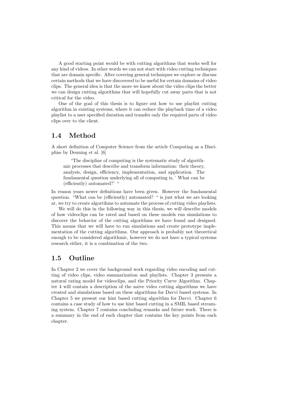A good starting point would be with cutting algorithms that works well for any kind of videos. In other words we can not start with video cutting techniques that are domain specific. After covering general techniques we explore or discuss certain methods that we have discovered to be useful for certain domains of video clips. The general idea is that the more we know about the video clips the better we can design cutting algorithms that will hopefully cut away parts that is not critical for the video.

One of the goal of this thesis is to figure out how to use playlist cutting algorithm in existing systems, where it can reduce the playback time of a video playlist to a user specified duration and transfer only the required parts of video clips over to the client.

## 1.4 Method

A short definition of Computer Science from the article Computing as a Discipline by Denning et al. [6]

"The discipline of computing is the systematic study of algorithmic processes that describe and transform information: their theory, analysis, design, efficiency, implementation, and application. The fundamental question underlying all of computing is, ' What can be (efficiently) automated?' "

In reason years newer definitions have been given. However the fundamental question. "What can be (efficiently) automated? " is just what we are looking at, we try to create algortihms to automate the process of cutting video playlists.

We will do this in the following way in this thesis, we will describe models of how videoclips can be rated and based on these models run simulations to discover the behavior of the cutting algorithms we have found and designed. This means that we will have to run simulations and create prototype implementation of the cutting algorithms. Our approach is probably not theoretical enough to be considered algorithmic, however we do not have a typical systems research either, it is a combination of the two.

### 1.5 Outline

In Chapter 2 we cover the background work regarding video encoding and cutting of video clips, video summarization and playlists. Chapter 3 presents a natural rating model for videoclips, and the Priority Curve Algorithm. Chapter 4 will contain a description of the naive video cutting algorithms we have created and simulations based on these algorithms for Davvi based systems. In Chapter 5 we present our hint based cutting algorithm for Davvi. Chapter 6 contains a case study of how to use hint based cutting in a SMIL based streaming system. Chapter 7 contains concluding remarks and future work. There is a summary in the end of each chapter that contains the key points from each chapter.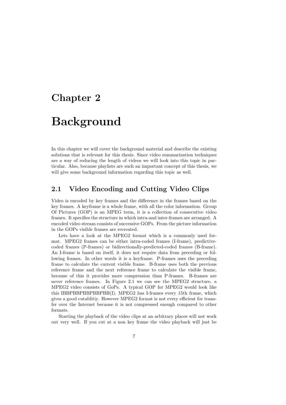## Chapter 2

## Background

In this chapter we will cover the background material and describe the existing solutions that is relevant for this thesis. Since video summarization techniques are a way of reducing the length of videos we will look into this topic in particular. Also, because playlists are such an important concept of this thesis, we will give some background information regarding this topic as well.

## 2.1 Video Encoding and Cutting Video Clips

Video is encoded by key frames and the difference in the frames based on the key frames. A keyframe is a whole frame, with all the color information. Group Of Pictures (GOP) is an MPEG term, it is a collection of consecutive video frames. It specifies the structure in which intra-and inter-frames are arranged. A encoded video stream consists of successive GOPs. From the picture information in the GOPs visible frames are recreated.

Lets have a look at the MPEG2 format which is a commonly used format. MPEG2 frames can be either intra-coded frames (I-frame), predictivecoded frames (P-frames) or bidirectionally-predicted-coded frames (B-frame). An I-frame is based on itself, it does not require data from preceding or following frames. In other words it is a keyframe. P-frames uses the preceding frame to calculate the current visible frame. B-frame uses both the previous reference frame and the next reference frame to calculate the visible frame, because of this it provides more compression than P-frames. B-frames are never reference frames. In Figure 2.1 we can see the MPEG2 structure, a MPEG2 video consists of GoPs. A typical GOP for MPEG2 would look like this IBBPBBPBBPBBPBB(I). MPEG2 has I-frames every 15th frame, which gives a good cutablitiy. However MPEG2 format is not every efficient for transfer over the Internet because it is not compressed enough compared to other formats.

Starting the playback of the video clips at an arbitrary places will not work out very well. If you cut at a non key frame the video playback will just be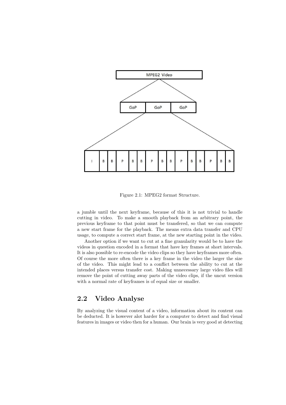

Figure 2.1: MPEG2 format Structure.

a jumble until the next keyframe, because of this it is not trivial to handle cutting in video. To make a smooth playback from an arbitrary point, the previous keyframe to that point must be transfered, so that we can compute a new start frame for the playback. The means extra data transfer and CPU usage, to compute a correct start frame, at the new starting point in the video.

Another option if we want to cut at a fine granularity would be to have the videos in question encoded in a format that have key frames at short intervals. It is also possible to re-encode the video clips so they have keyframes more often. Of course the more often there is a key frame in the video the larger the size of the video. This might lead to a conflict between the ability to cut at the intended places versus transfer cost. Making unnecessary large video files will remove the point of cutting away parts of the video clips, if the uncut version with a normal rate of keyframes is of equal size or smaller.

## 2.2 Video Analyse

By analyzing the visual content of a video, information about its content can be deducted. It is however alot harder for a computer to detect and find visual features in images or video then for a human. Our brain is very good at detecting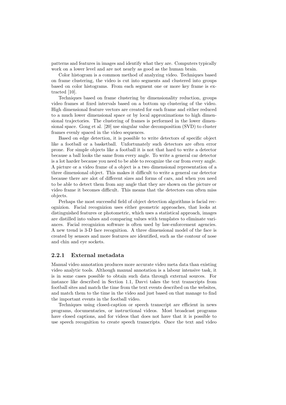patterns and features in images and identify what they are. Computers typically work on a lower level and are not nearly as good as the human brain.

Color histogram is a common method of analyzing video. Techniques based on frame clustering, the video is cut into segments and clustered into groups based on color histograms. From each segment one or more key frame is extracted [10].

Techniques based on frame clustering by dimensionality reduction, groups video frames at fixed intervals based on a bottom up clustering of the video. High dimensional feature vectors are created for each frame and either reduced to a much lower dimensional space or by local approximations to high dimensional trajectories. The clustering of frames is performed in the lower dimensional space. Gong et al. [20] use singular value decomposition (SVD) to cluster frames evenly spaced in the video sequences.

Based on edge detection, it is possible to write detectors of specific object like a football or a basketball. Unfortunately such detectors are often error prone. For simple objects like a football it is not that hard to write a detector because a ball looks the same from every angle. To write a general car detector is a lot harder because you need to be able to recognize the car from every angle. A picture or a video frame of a object is a two dimensional representation of a three dimensional object. This makes it difficult to write a general car detector because there are alot of different sizes and forms of cars, and when you need to be able to detect them from any angle that they are shown on the picture or video frame it becomes difficult. This means that the detectors can often miss objects.

Perhaps the most successful field of object detection algorithms is facial recognizion. Facial recognizion uses either geometric approaches, that looks at distinguished features or photometric, which uses a statistical approach, images are distilled into values and comparing values with templates to eliminate variances. Facial recognizion software is often used by law-enforcement agencies. A new trend is 3-D face recognition. A three dimensional model of the face is created by sensors and more features are identified, such as the contour of nose and chin and eye sockets.

#### 2.2.1 External metadata

Manual video annotation produces more accurate video meta data than existing video analytic tools. Although manual annotation is a labour intensive task, it is in some cases possible to obtain such data through external sources. For instance like described in Section 1.1, Davvi takes the text transcripts from football sites and match the time from the text events described on the websites, and match them to the time in the video and just based on that manage to find the important events in the football video.

Techniques using closed-caption or speech transcript are efficient in news programs, documentaries, or instructional videos. Most broadcast programs have closed captions, and for videos that does not have that it is possible to use speech recognition to create speech transcripts. Once the text and video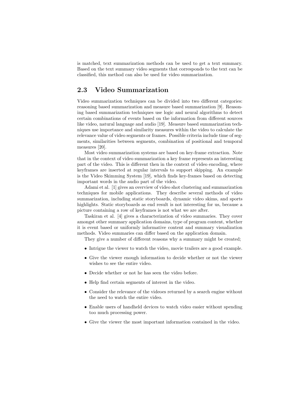is matched, text summarization methods can be used to get a text summary. Based on the text summary video segments that corresponds to the text can be classified, this method can also be used for video summarization.

## 2.3 Video Summarization

Video summarization techniques can be divided into two different categories: reasoning based summarization and measure based summarization [9]. Reasoning based summarization techniques use logic and neural algorithms to detect certain combinations of events based on the information from different sources like video, natural language and audio [19]. Measure based summarization techniques use importance and similarity measures within the video to calculate the relevance value of video segments or frames. Possible criteria include time of segments, similarities between segments, combination of positional and temporal measures [20].

Most video summarization systems are based on key-frame extraction. Note that in the context of video summarization a key frame represents an interesting part of the video. This is different then in the context of video encoding, where keyframes are inserted at regular intervals to support skipping. An example is the Video Skimming System [19], which finds key-frames based on detecting important words in the audio part of the video.

Adami et al. [1] gives an overview of video shot clustering and summarization techniques for mobile applications. They describe several methods of video summarization, including static storyboards, dynamic video skims, and sports highlights. Static storyboards as end result is not interesting for us, because a picture containing a row of keyframes is not what we are after.

Taskiran et al. [4] gives a characterization of video summaries. They cover amongst other summary application domains, type of program content, whether it is event based or uniformly informative content and summary visualization methods. Video summaries can differ based on the application domain.

They give a number of different reasons why a summary might be created;

- Intrigue the viewer to watch the video, movie trailers are a good example.
- Give the viewer enough information to decide whether or not the viewer wishes to see the entire video.
- Decide whether or not he has seen the video before.
- Help find certain segments of interest in the video.
- Consider the relevance of the videoes returned by a search engine without the need to watch the entire video.
- Enable users of handheld devices to watch video easier without spending too much processing power.
- Give the viewer the most important information contained in the video.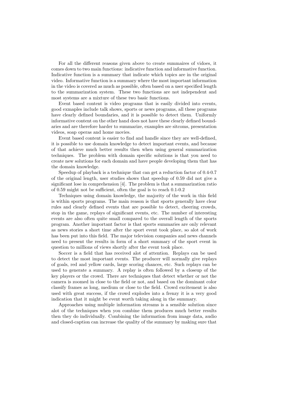For all the different reasons given above to create summaires of vidoes, it comes down to two main functions: indicative function and informative function. Indicative function is a summary that indicate which topics are in the original video. Informative function is a summary where the most important information in the video is covered as much as possible, often based on a user specified length to the summarization system. These two functions are not independent and most systems are a mixture of these two basic functions.

Event based content is video programs that is easily divided into events, good exmaples include talk shows, sports or news programs, all these programs have clearly defined boundaries, and it is possible to detect them. Uniformly informative content on the other hand does not have these clearly defined boundaries and are therefore harder to summarize, examples are sitcoms, presentation videos, soap operas and home movies.

Event based content is easier to find and handle since they are well-defined, it is possible to use domain knowledge to detect important events, and because of that achieve much better results then when using general summarization techniques. The problem with domain specific solutions is that you need to create new solutions for each domain and have people developing them that has the domain knowledge.

Speedup of playback is a technique that can get a reduction factor of 0.4-0.7 of the original length, user studies shows that speedup of 0.59 did not give a significant lose in comprehension [4]. The problem is that a summarization ratio of 0.59 might not be sufficient, often the goal is to reach 0.1-0.2

Techniques using domain knowledge, the majority of the work in this field is within sports programs. The main reason is that sports generally have clear rules and clearly defined events that are possible to detect, cheering crowds, stop in the game, replays of significant events, etc. The number of interesting events are also often quite small compared to the overall length of the sports program. Another important factor is that sports summaries are only relevant as news stories a short time after the sport event took place, so alot of work has been put into this field. The major television companies and news channels need to present the results in form of a short summary of the sport event in question to millions of views shortly after the event took place.

Soccer is a field that has received alot of attention. Replays can be used to detect the most important events. The producer will normally give replays of goals, red and yellow cards, large scoring chances, etc. Such replays can be used to generate a summary. A replay is often followed by a closeup of the key players or the crowd. There are techniques that detect whether or not the camera is zoomed in close to the field or not, and based on the dominant color classify frames as long, medium or close to the field. Crowd excitement is also used with great success, if the crowd explodes into a frenzy it is a very good indication that it might be event worth taking along in the summary.

Approaches using multiple information streams is a sensible solution since alot of the techniques when you combine them produces much better results then they do individually. Combining the information from image data, audio and closed-caption can increase the quality of the summary by making sure that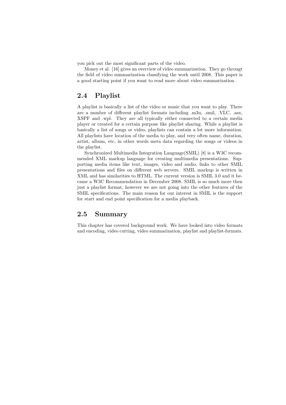you pick out the most significant parts of the video.

Money et al. [16] gives an overview of video summarization. They go througt the field of video summarization classifying the work until 2008. This paper is a good starting point if you want to read more about video summarization.

## 2.4 Playlist

A playlist is basically a list of the video or music that you want to play. There are a number of different playlist formats including .m3u, .smil, .VLC, .asx, XSPF and .wpl. They are all typically either connected to a certain media player or created for a certain purpose like playlist sharing. While a playlist is basically a list of songs or video, playlists can contain a lot more information. All playlists have location of the media to play, and very often name, duration, artist, album, etc, in other words meta data regarding the songs or videos in the playlist.

Synchronized Multimedia Integration Language(SMIL) [8] is a W3C recommended XML markup language for creating multimedia presentations. Supporting media items like text, images, video and audio, links to other SMIL presentations and files on different web servers. SMIL markup is written in XML and has similarities to HTML. The current version is SMIL 3.0 and it became a W3C Recommendation in December 2008. SMIL is so much more then just a playlist format, however we are not going into the other features of the SMIL specifications. The main reason for our interest in SMIL is the support for start and end point specification for a media playback.

## 2.5 Summary

This chapter has covered background work. We have looked into video formats and encoding, video cutting, video summarization, playlist and playlist-formats.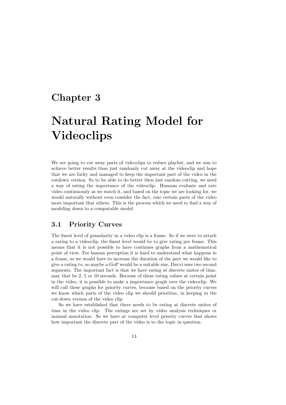## Chapter 3

## Natural Rating Model for Videoclips

We are going to cut away parts of videoclips to reduce playlist, and we aim to achieve better results than just randomly cut away at the videoclip and hope that we are lucky and managed to keep the important part of the video in the cutdown version. So to be able to do better then just random cutting, we need a way of rating the importance of the videoclip. Humans evaluate and rate video continuously as we watch it, and based on the topic we are looking for, we would naturally without even consider the fact, rate certain parts of the video more important that others. This is the process which we need to find a way of modeling down to a computable model.

### 3.1 Priority Curves

The finest level of granularity in a video clip is a frame. So if we were to attach a rating to a videoclip, the finest level would be to give rating per frame. This means that it is not possible to have continues graphs from a mathematical point of view. For human perception it is hard to understand what happens in a frame, so we would have to increase the duration of the part we would like to give a rating to, so maybe a GoP would be a suitable size, Davvi uses two second segments. The important fact is that we have rating at discrete unites of time, may that be 2, 5 or 10 seconds. Because of these rating values at certain point in the video, it is possible to make a importance graph over the videoclip. We will call these graphs for priority curves, because based on the priority curves we know which parts of the video clip we should prioritize, in keeping in the cut-down version of the video clip.

So we have established that there needs to be rating at discrete unites of time in the video clip. The ratings are set by video analysis techniques or manual annotation. So we have at computer level priority curves that shows how important the discrete part of the video is to the topic in question.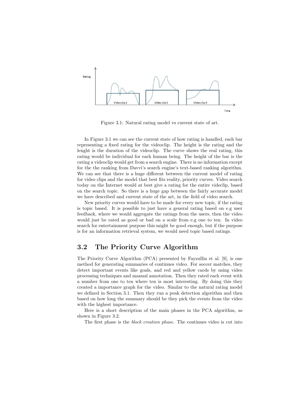

Figure 3.1: Natural rating model vs current state of art.

In Figure 3.1 we can see the current state of how rating is handled, each bar representing a fixed rating for the videoclip. The height is the rating and the lenght is the duration of the videoclip. The curve shows the real rating, this rating would be individual for each human being. The height of the bar is the rating a videoclip would get from a search engine. There is no information except for the the ranking from Davvi's search engine's text-based ranking algorithm. We can see that there is a huge different between the current model of rating for video clips and the model that best fits reality, priority curves. Video search today on the Internet would at best give a rating for the entire videclip, based on the search topic. So there is a huge gap between the fairly accurate model we have described and current state of the art, in the field of video search.

New priority curves would have to be made for every new topic, if the rating is topic based. It is possible to just have a general rating based on e.g user feedback, where we would aggregate the ratings from the users, then the video would just be rated as good or bad on a scale from e.g one to ten. In video search for entertainment purpose this might be good enough, but if the purpose is for an information retrieval system, we would need topic based ratings.

### 3.2 The Priority Curve Algorithm

The Priority Curve Algorithm (PCA) presented by Fayzullin et al. [9], is one method for generating summaries of continues video. For soccer matches, they detect important events like goals, and red and yellow cards by using video processing techniques and manual annotation. Then they rated each event with a number from one to ten where ten is most interesting. By doing this they created a importance graph for the video. Similar to the natural rating model we defined in Section 3.1. Then they run a peak detection algorithm and then based on how long the summary should be they pick the events from the video with the highest importance.

Here is a short description of the main phases in the PCA algorithm, as shown in Figure 3.2.

The first phase is the *block creation phase*. The continues video is cut into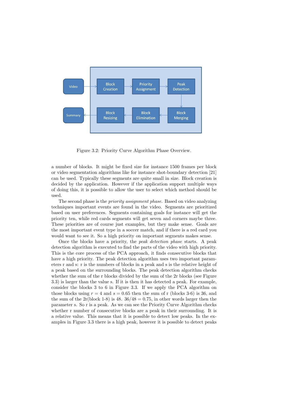

Figure 3.2: Priority Curve Algorithm Phase Overview.

a number of blocks. It might be fixed size for instance 1500 frames per block or video segmentation algorithms like for instance shot-boundary detection [21] can be used. Typically these segments are quite small in size. Block creation is decided by the application. However if the application support multiple ways of doing this, it is possible to allow the user to select which method should be used.

The second phase is the *priority assignment phase*. Based on video analyzing techniques important events are found in the video. Segments are prioritized based on user preferences. Segments containing goals for instance will get the priority ten, while red cards segments will get seven and corners maybe three. These priorities are of course just examples, but they make sense. Goals are the most important event type in a soccer match, and if there is a red card you would want to see it. So a high priority on important segments makes sense.

Once the blocks have a priority, the *peak detection phase* starts. A peak detection algorithm is executed to find the parts of the video with high priority. This is the core process of the PCA approach, it finds consecutive blocks that have a high priority. The peak detection algorithm uses two important parameters r and s: r is the numbers of blocks in a peak and s is the relative height of a peak based on the surrounding blocks. The peak detection algorithm checks whether the sum of the r blocks divided by the sum of the 2r blocks (see Figure 3.3) is larger than the value s. If it is then it has detected a peak. For example, consider the blocks 3 to 6 in Figure 3.3. If we apply the PCA algorithm on those blocks using  $r = 4$  and  $s = 0.65$  then the sum of r (blocks 3-6) is 36, and the sum of the  $2r(block 1-8)$  is  $48.36/48 = 0.75$ , in other words larger then the parameter s. So r is a peak. As we can see the Priority Curve Algorithm checks whether r number of consecutive blocks are a peak in their surrounding. It is a relative value. This means that it is possible to detect low peaks. In the examples in Figure 3.3 there is a high peak, however it is possible to detect peaks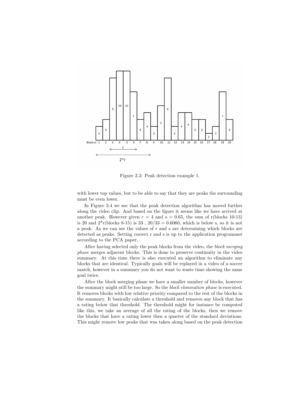

Figure 3.3: Peak detection example 1.

with lower top values, but to be able to say that they are peaks the surrounding must be even lower.

In Figure 3.4 we see that the peak detection algorithm has moved further along the video clip. And based on the figure it seems like we have arrived at another peak. However given  $r = 4$  and  $s = 0.65$ , the sum of r(blocks 10-13) is 20 and  $2^{*}$ r(blocks 8-15) is 33,  $20/33 = 0.6060$ , which is below s, so it is not a peak. As we can see the values of r and s are determining which blocks are detected as peaks. Setting correct r and s is up to the application programmer according to the PCA paper.

After having selected only the peak blocks from the video, the *block merging phase* merges adjacent blocks. This is done to preserve continuity in the video summary. At this time there is also executed an algorithm to eliminate any blocks that are identical. Typically goals will be replayed in a video of a soccer match, however in a summary you do not want to waste time showing the same goal twice.

After the block merging phase we have a smaller number of blocks, however the summary might still be too large. So the *block elimination phase* is executed. It removes blocks with low relative priority compared to the rest of the blocks in the summary. It basically calculate a threshold and removes any block that has a rating below that threshold. The threshold might for instance be computed like this, we take an average of all the rating of the blocks, then we remove the blocks that have a rating lower then a quarter of the standard deviations. This might remove low peaks that was taken along based on the peak detection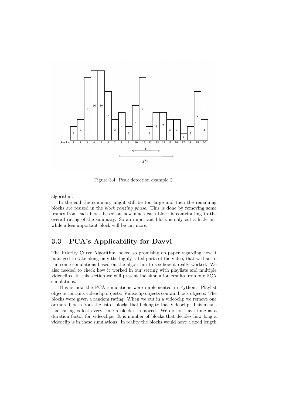

Figure 3.4: Peak detection example 2.

algorithm.

In the end the summary might still be too large and then the remaining blocks are resized in the *block resizing phase*. This is done by removing some frames from each block based on how much each block is contributing to the overall rating of the summary. So an important block is only cut a little bit, while a less important block will be cut more.

## 3.3 PCA's Applicability for Davvi

The Priority Curve Algorithm looked so promising on paper regarding how it managed to take along only the highly rated parts of the video, that we had to run some simulations based on the algorithm to see how it really worked. We also needed to check how it worked in our setting with playlists and multiple videoclips. In this section we will present the simulation results from our PCA simulations.

This is how the PCA simulations were implemented in Python. Playlist objects contains videoclip objects. Videoclip objects contain block objects. The blocks were given a random rating. When we cut in a videoclip we remove one or more blocks from the list of blocks that belong to that videoclip. This means that rating is lost every time a block is removed. We do not have time as a duration factor for videoclips. It is number of blocks that decides how long a videoclip is in these simulations. In reality the blocks would have a fixed length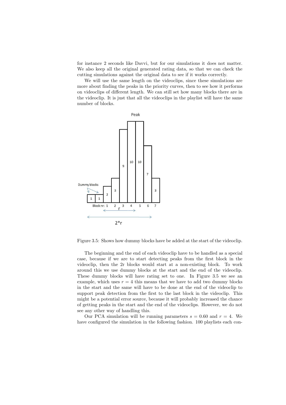for instance 2 seconds like Davvi, but for our simulations it does not matter. We also keep all the original generated rating data, so that we can check the cutting simulations against the original data to see if it works correctly.

We will use the same length on the videoclips, since these simulations are more about finding the peaks in the priority curves, then to see how it performs on videoclips of different length. We can still set how many blocks there are in the videoclip. It is just that all the videoclips in the playlist will have the same number of blocks.



Figure 3.5: Shows how dummy blocks have be added at the start of the videoclip.

The beginning and the end of each videoclip have to be handled as a special case, because if we are to start detecting peaks from the first block in the videoclip, then the 2r blocks would start at a non-existing block. To work around this we use dummy blocks at the start and the end of the videoclip. These dummy blocks will have rating set to one. In Figure 3.5 we see an example, which uses  $r = 4$  this means that we have to add two dummy blocks in the start and the same will have to be done at the end of the videoclip to support peak detection from the first to the last block in the videoclip. This might be a potential error source, because it will probably increased the chance of getting peaks in the start and the end of the videoclips. However, we do not see any other way of handling this.

Our PCA simulation will be running parameters  $s = 0.60$  and  $r = 4$ . We have configured the simulation in the following fashion. 100 playlists each con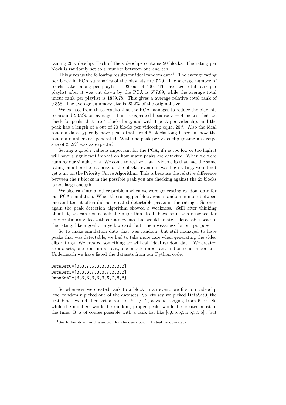taining 20 videoclip. Each of the videoclips contains 20 blocks. The rating per block is randomly set to a number between one and ten.

This gives us the following results for ideal random data<sup>1</sup>. The average rating per block in PCA summaries of the playlists are 7.29. The average number of blocks taken along per playlist is 93 out of 400. The average total rank per playlist after it was cut down by the PCA is 677.89, while the average total uncut rank per playlist is 1889.78. This gives a average relative total rank of 0.358. The average summary size is 23.2% of the original size.

We can see from these results that the PCA manages to reduce the playlists to around 23.2% on average. This is expected because  $r = 4$  means that we check for peaks that are 4 blocks long, and with 1 peak per videoclip. and the peak has a length of 4 out of 20 blocks per videoclip equal 20%. Also the ideal random data typically have peaks that are 4-6 blocks long based on how the random numbers are generated. With one peak per videoclip getting an averge size of 23.2% was as expected.

Setting a good r value is important for the PCA, if r is too low or too high it will have a significant impact on how many peaks are detected. When we were running our simulations. We come to realize that a video clip that had the same rating on all or the majority of the blocks, even if it was high rating, would not get a hit on the Priority Curve Algorithm. This is because the relative difference between the r blocks in the possible peak you are checking against the 2r blocks is not large enough.

We also ran into another problem when we were generating random data for our PCA simulation. When the rating per block was a random number between one and ten, it often did not created detectable peaks in the ratings. So once again the peak detection algorithm showed a weakness. Still after thinking about it, we can not attack the algorithm itself, because it was designed for long continues video with certain events that would create a detectable peak in the rating, like a goal or a yellow card, but it is a weakness for our purpose.

So to make simulation data that was random, but still managed to have peaks that was detectable, we had to take more care when generating the video clip ratings. We created something we will call ideal random data. We created 3 data sets, one front important, one middle important and one end important. Underneath we have listed the datasets from our Python code.

DataSet0=[8,8,7,6,3,3,3,3,3,3] DataSet1=[3,3,3,7,8,8,7,3,3,3] DataSet2=[3,3,3,3,3,3,6,7,8,8]

So whenever we created rank to a block in an event, we first on videoclip level randomly picked one of the datasets. So lets say we picked DataSet0, the first block would then get a rank of  $8 +/- 2$ , a value ranging from 6-10. So while the numbers would be random, proper peaks would be created most of the time. It is of course possible with a rank list like  $[6,6,5,5,5,5,5,5,5]$ , but

<sup>&</sup>lt;sup>1</sup>See futher down in this section for the description of ideal random data.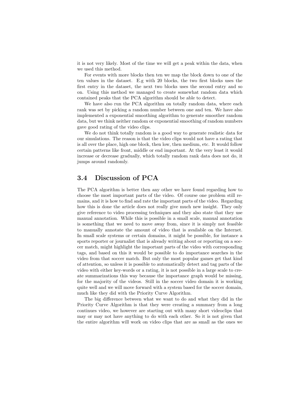it is not very likely. Most of the time we will get a peak within the data, when we used this method.

For events with more blocks then ten we map the block down to one of the ten values in the dataset. E.g with 20 blocks, the two first blocks uses the first entry in the dataset, the next two blocks uses the second entry and so on. Using this method we managed to create somewhat random data which contained peaks that the PCA algorithm should be able to detect.

We have also run the PCA algorithm on totally random data, where each rank was set by picking a random number between one and ten. We have also implemented a exponential smoothing algorithm to generate smoother random data, but we think neither random or exponential smoothing of random numbers gave good rating of the video clips.

We do not think totally random is a good way to generate realistic data for our simulations. The reason is that the video clips would not have a rating that is all over the place, high one block, then low, then medium, etc. It would follow certain patterns like front, middle or end important. At the very least it would increase or decrease gradually, which totally random rank data does not do, it jumps around randomly.

## 3.4 Discussion of PCA

The PCA algorithm is better then any other we have found regarding how to choose the most important parts of the video. Of course one problem still remains, and it is how to find and rate the important parts of the video. Regarding how this is done the article does not really give much new insight. They only give reference to video processing techniques and they also state that they use manual annotation. While this is possible in a small scale, manual annotation is something that we need to move away from, since it is simply not feasible to manually annotate the amount of video that is available on the Internet. In small scale systems or certain domains, it might be possible, for instance a sports reporter or journalist that is already writing about or reporting on a soccer match, might highlight the important parts of the video with corresponding tags, and based on this it would be possible to do importance searches in the video from that soccer match. But only the most popular games get that kind of attention, so unless it is possible to automatically detect and tag parts of the video with either key-words or a rating, it is not possible in a large scale to create summarizations this way because the importance graph would be missing, for the majority of the videos. Still in the soccer video domain it is working quite well and we will move forward with a system based for the soccer domain, much like they did with the Priority Curve Algorithm.

The big difference between what we want to do and what they did in the Priority Curve Algorithm is that they were creating a summary from a long continues video, we however are starting out with many short videoclips that may or may not have anything to do with each other. So it is not given that the entire algorithm will work on video clips that are as small as the ones we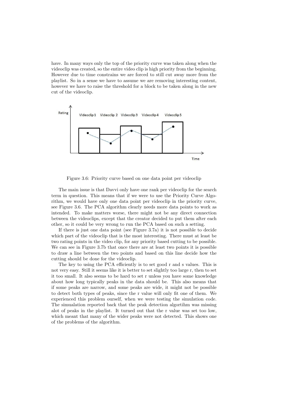have. In many ways only the top of the priority curve was taken along when the videoclip was created, so the entire video clip is high priority from the beginning. However due to time constrains we are forced to still cut away more from the playlist. So in a sense we have to assume we are removing interesting content, however we have to raise the threshold for a block to be taken along in the new cut of the videoclip.



Figure 3.6: Priority curve based on one data point per videoclip

The main issue is that Davvi only have one rank per videoclip for the search term in question. This means that if we were to use the Priority Curve Algorithm, we would have only one data point per videoclip in the priority curve, see Figure 3.6. The PCA algorithm clearly needs more data points to work as intended. To make matters worse, there might not be any direct connection between the videoclips, except that the creator decided to put them after each other, so it could be very wrong to run the PCA based on such a setting.

If there is just one data point (see Figure 3.7a) it is not possible to decide which part of the videoclip that is the most interesting. There must at least be two rating points in the video clip, for any priority based cutting to be possible. We can see in Figure 3.7b that once there are at least two points it is possible to draw a line between the two points and based on this line decide how the cutting should be done for the videoclip.

The key to using the PCA efficiently is to set good r and s values. This is not very easy. Still it seems like it is better to set slightly too large r, then to set it too small. It also seems to be hard to set r unless you have some knowledge about how long typically peaks in the data should be. This also means that if some peaks are narrow, and some peaks are wide, it might not be possible to detect both types of peaks, since the r value will only fit one of them. We experienced this problem ourself, when we were testing the simulation code. The simualation reported back that the peak detection algortihm was missing alot of peaks in the playlist. It turned out that the r value was set too low, which meant that many of the wider peaks were not detected. This shows one of the problems of the algorithm.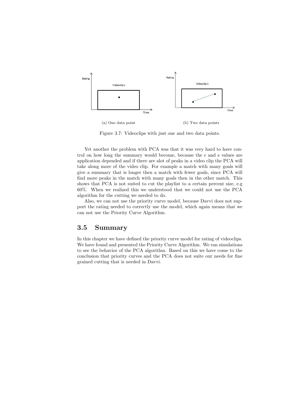

Figure 3.7: Videoclips with just one and two data points.

Yet another the problem with PCA was that it was very hard to have control on how long the summary would become, because the r and s values are application depended and if there are alot of peaks in a video clip the PCA will take along more of the video clip. For example a match with many goals will give a summary that is longer then a match with fewer goals, since PCA will find more peaks in the match with many goals then in the other match. This shows that PCA is not suited to cut the playlist to a certain percent size, e.g 60%. When we realized this we understood that we could not use the PCA algorithm for the cutting we needed to do.

Also, we can not use the priority curve model, because Davvi does not support the rating needed to correctly use the model, which again means that we can not use the Priority Curve Algorithm.

### 3.5 Summary

In this chapter we have defined the priority curve model for rating of videoclips. We have found and presented the Priority Curve Algorithm. We ran simulations to see the behavior of the PCA algorithm. Based on this we have come to the conclusion that priority curves and the PCA does not suite our needs for fine grained cutting that is needed in Davvi.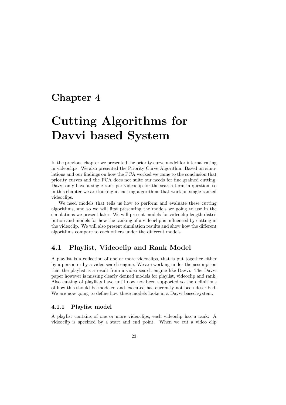## Chapter 4

## Cutting Algorithms for Davvi based System

In the previous chapter we presented the priority curve model for internal rating in videoclips. We also presented the Priority Curve Algorithm. Based on simulations and our findings on how the PCA worked we came to the conclusion that priority curves and the PCA does not suite our needs for fine grained cutting. Davvi only have a single rank per videoclip for the search term in question, so in this chapter we are looking at cutting algorithms that work on single ranked videoclips.

We need models that tells us how to perform and evaluate these cutting algorithms, and so we will first presenting the models we going to use in the simulations we present later. We will present models for videoclip length distribution and models for how the ranking of a videoclip is influenced by cutting in the videoclip. We will also present simulation results and show how the different algorithms compare to each others under the different models.

## 4.1 Playlist, Videoclip and Rank Model

A playlist is a collection of one or more videoclips, that is put together either by a person or by a video search engine. We are working under the assumption that the playlist is a result from a video search engine like Davvi. The Davvi paper however is missing clearly defined models for playlist, videoclip and rank. Also cutting of playlists have until now not been supported so the definitions of how this should be modeled and executed has currently not been described. We are now going to define how these models looks in a Davvi based system.

#### 4.1.1 Playlist model

A playlist contains of one or more videoclips, each videoclip has a rank. A videoclip is specified by a start and end point. When we cut a video clip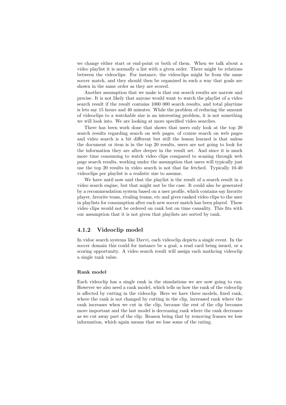we change either start or end-point or both of them. When we talk about a video playlist it is normally a list with a given order. There might be relations between the videoclips. For instance, the videoclips might be from the same soccer match, and they should then be organized in such a way that goals are shown in the same order as they are scored.

Another assumption that we make is that our search results are narrow and precise. It is not likely that anyone would want to watch the playlist of a video search result if the result contains 1000 000 search results, and total playtime is lets say 15 hours and 40 minutes. While the problem of reducing the amount of videoclips to a watchable size is an interesting problem, it is not something we will look into. We are looking at more specified video searches.

There has been work done that shows that users only look at the top 20 search results regarding search on web pages, of course search on web pages and video search is a bit different but still the lesson learned is that unless the document or item is in the top 20 results, users are not going to look for the information they are after deeper in the result set. And since it is much more time consuming to watch video clips compared to scaning through web page search results, working under the assumption that users will typically just use the top 20 results in video search is not that far fetched. Typically 10-40 videoclips per playlist is a realistic size to assume.

We have until now said that the playlist is the result of a search result in a video search engine, but that might not be the case. It could also be generated by a recommendation system based on a user profile, which contains say favorite player, favorite team, rivaling teams, etc and gives ranked video clips to the user in playlists for consumption after each new soccer match has been played. These video clips would not be ordered on rank but on time causality. This fits with our assumption that it is not given that playlists are sorted by rank.

### 4.1.2 Videoclip model

In vidoe search systems like Davvi, each videoclip depicts a single event. In the soccer domain this could for instance be a goal, a read card being issued, or a scoring opportunity. A video search result will assign each mathcing videoclip a single rank value.

#### Rank model

Each videoclip has a single rank in the simulations we are now going to run. However we also need a rank model, which tells us how the rank of the videoclip is affected by cutting in the videoclip. Here we have three models, fixed rank, where the rank is not changed by cutting in the clip, increased rank where the rank increases when we cut in the clip, because the rest of the clip becomes more important and the last model is decreasing rank where the rank decreases as we cut away part of the clip. Reason being that by removing frames we lose information, which again means that we lose some of the rating.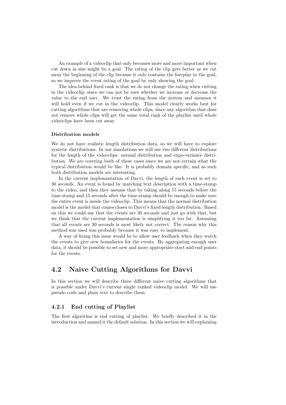An example of a videoclip that only becomes more and more important when cut down in size might be a goal. The rating of the clip gets better as we cut away the beginning of the clip because it only contains the foreplay to the goal, so we improve the event rating of the goal by only showing the goal.

The idea behind fixed rank is that we do not change the rating when cutting in the videoclip, since we can not be sure whether we increase or decrease the value to the end user. We trust the rating from the system and assumes it will hold even if we cut in the videoclip. This model clearly works best for cutting algorithms that are removing whole clips, since any algorithm that does not remove whole clips will get the same total rank of the playlist until whole videoclips have been cut away.

#### Distribution models

We do not have realistic length distribution data, so we will have to explore syntetic distributions. In our simulations we will use two different distributions for the length of the videoclips: normal distribution and expo-variance distribution. We are covering both of these cases since we are not certain what the typical distribution would be like. It is probably domain specific, and as such both distribution models are interesting.

In the current implementation of Davvi, the length of each event is set to 30 seconds. An event is found by matching text description with a time-stamp to the video, and then they assume that by taking along 15 seconds before the time-stamp and 15 seconds after the time-stamp should be enough to make sure the entire event is inside the videoclip. This means that the normal distribution model is the model that comes closes to Davvi's fixed length distribution. Based on this we could say that the events are 30 seconds and just go with that, but we think that the current implementation is simplifying it too far. Assuming that all events are 30 seconds is most likely not correct. The reason why this method was used was probably because it was easy to implement.

A way of fixing this issue would be to allow user feedback when they watch the events to give new boundaries for the events. By aggregating enough user data, it should be possible to set new and more appropriate start and end points for the events.

## 4.2 Naive Cutting Algorithms for Davvi

In this section we will describe three different naive cutting algorithms that is possible under Davvi's current single ranked videoclip model. We will use pseudo code and plain text to describe them.

#### 4.2.1 End cutting of Playlist

The first algorithm is end cutting of playlist. We briefly described it in the introduction and named it the default solution. In this section we will explaining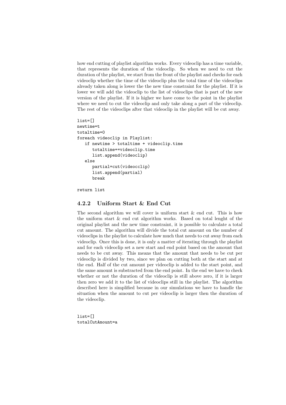how end cutting of playlist algorithm works. Every videoclip has a time variable, that represents the duration of the videoclip. So when we need to cut the duration of the playlist, we start from the front of the playlist and checks for each videoclip whether the time of the videoclip plus the total time of the videoclips already taken along is lower the the new time constraint for the playlist. If it is lower we will add the videoclip to the list of videoclips that is part of the new version of the playlist. If it is higher we have come to the point in the playlist where we need to cut the videoclip and only take along a part of the videoclip. The rest of the videoclips after that videoclip in the playlist will be cut away.

```
list=[]
newtime=t
totaltime=0
foreach videoclip in Playlist:
   if newtime > totaltime + videoclip.time
      totaltime+=videoclip.time
      list.append(videoclip)
   else
      partial=cut(videocclip)
      list.append(partial)
      break
```
return list

#### 4.2.2 Uniform Start & End Cut

The second algorithm we will cover is uniform start  $\&$  end cut. This is how the uniform start & end cut algorithm works. Based on total lenght of the original playlist and the new time constraint, it is possible to calculate a total cut amount. The algorithm will divide the total cut amount on the number of videoclips in the playlist to calculate how much that needs to cut away from each videoclip. Once this is done, it is only a matter of iterating through the playlist and for each videoclip set a new start and end point based on the amount that needs to be cut away. This means that the amount that needs to be cut per videoclip is divided by two, since we plan on cutting both at the start and at the end. Half of the cut amount per videoclip is added to the start point, and the same amount is substracted from the end point. In the end we have to check whether or not the duration of the videoclip is still above zero, if it is larger then zero we add it to the list of videoclips still in the playlist. The algorithm described here is simplified because in our simulations we have to handle the situation when the amount to cut per videoclip is larger then the duration of the videoclip.

list=[] totalCutAmount=a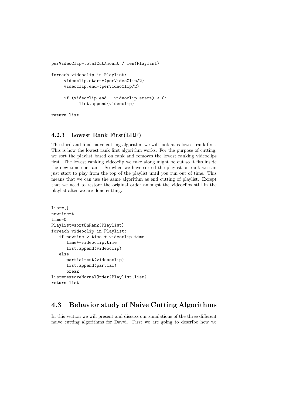```
perVideoClip=totalCutAmount / len(Playlist)
foreach videoclip in Playlist:
     videoclip.start+(perVideoClip/2)
     videoclip.end-(perVideoClip/2)
     if (videoclip.end - videoclip.start) > 0:
           list.append(videoclip)
return list
```
#### 4.2.3 Lowest Rank First(LRF)

The third and final naive cutting algorithm we will look at is lowest rank first. This is how the lowest rank first algorithm works. For the purpose of cutting, we sort the playlist based on rank and removes the lowest ranking videoclips first. The lowest ranking videoclip we take along might be cut so it fits inside the new time contraint. So when we have sorted the playlist on rank we can just start to play from the top of the playlist until you run out of time. This means that we can use the same algorithm as end cutting of playlist. Except that we need to restore the original order amongst the videoclips still in the playlist after we are done cutting.

```
list=[]
newtime=t
time=0
Playlist=sortOnRank(Playlist)
foreach videoclip in Playlist:
   if newtime > time + videoclip.time
      time+=videoclip.time
      list.append(videoclip)
   else
      partial=cut(videocclip)
      list.append(partial)
      break
list=restoreNormalOrder(Playlist,list)
return list
```
## 4.3 Behavior study of Naive Cutting Algorithms

In this section we will present and discuss our simulations of the three different naive cutting algorithms for Davvi. First we are going to describe how we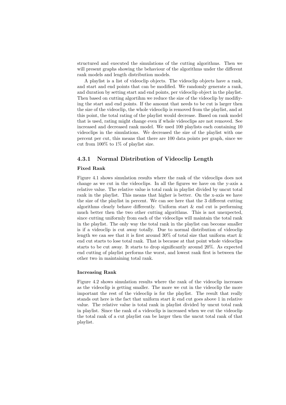structured and executed the simulations of the cutting algorithms. Then we will present graphs showing the behaviour of the algorithms under the different rank models and length distribution models.

A playlist is a list of videoclip objects. The videoclip objects have a rank, and start and end points that can be modified. We randomly generate a rank, and duration by setting start and end points, per videoclip object in the playlist. Then based on cutting algortihm we reduce the size of the videoclip by modifiying the start and end points. If the amount that needs to be cut is larger then the size of the videoclip, the whole videoclip is removed from the playlist, and at this point, the total rating of the playlist would decrease. Based on rank model that is used, rating might change even if whole videoclips are not removed. See increased and decreased rank model. We used 100 playlists each containing 10 videoclips in the simulations. We decreased the size of the playlist with one percent per cut, this means that there are 100 data points per graph, since we cut from 100% to 1% of playlist size.

#### 4.3.1 Normal Distribution of Videoclip Length

#### Fixed Rank

Figure 4.1 shows simulation results where the rank of the videoclips does not change as we cut in the videoclips. In all the figures we have on the y-axis a relative value. The relative value is total rank in playlist divided by uncut total rank in the playlist. This means that higher is better. On the x-axis we have the size of the playlist in percent. We can see here that the 3 different cutting algorithms clearly behave differently. Uniform start & end cut is performing much better then the two other cutting algorithms. This is not unexpected, since cutting uniformly from each of the videoclips will maintain the total rank in the playlist. The only way the total rank in the playlist can become smaller is if a videoclip is cut away totally. Due to normal distribution of videoclip length we can see that it is first around  $30\%$  of total size that uniform start  $\&$ end cut starts to lose total rank. That is because at that point whole videoclips starts to be cut away. It starts to drop significantly around 20%. As expected end cutting of playlist performs the worst, and lowest rank first is between the other two in maintaining total rank.

#### Increasing Rank

Figure 4.2 shows simulation results where the rank of the videoclip increases as the videoclip is getting smaller. The more we cut in the videoclip the more important the rest of the videoclip is for the playlist. The result that really stands out here is the fact that uniform start & end cut goes above 1 in relative value. The relative value is total rank in playlist divided by uncut total rank in playlist. Since the rank of a videoclip is increased when we cut the videoclip the total rank of a cut playlist can be larger then the uncut total rank of that playlist.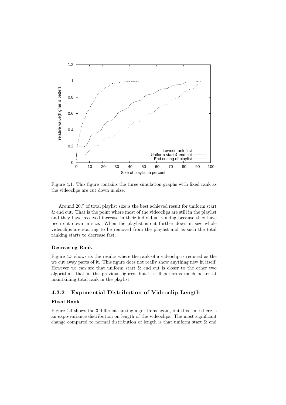

Figure 4.1: This figure contains the three simulation graphs with fixed rank as the videoclips are cut down in size.

Around 20% of total playlist size is the best achieved result for uniform start & end cut. That is the point where most of the videoclips are still in the playlist and they have received increase in their individual ranking because they have been cut down in size. When the playlist is cut further down in size whole videoclips are starting to be removed from the playlist and as such the total ranking starts to decrease fast.

#### Decreasing Rank

Figure 4.3 shows us the results where the rank of a videoclip is reduced as the we cut away parts of it. This figure does not really show anything new in itself. However we can see that uniform start & end cut is closer to the other two algorithms that in the previous figures, but it still performs much better at maintaining total rank in the playlist.

#### 4.3.2 Exponential Distribution of Videoclip Length

#### Fixed Rank

Figure 4.4 shows the 3 different cutting algorithms again, but this time there is an expo-variance distribution on length of the videoclips. The most significant change compared to normal distribution of length is that uniform start & end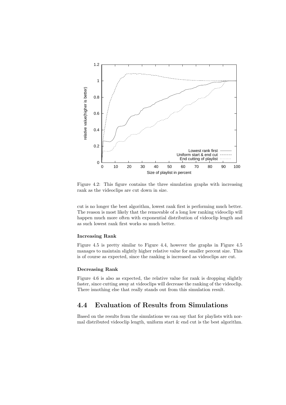

Figure 4.2: This figure contains the three simulation graphs with increasing rank as the videoclips are cut down in size.

cut is no longer the best algorithm, lowest rank first is performing much better. The reason is most likely that the removable of a long low ranking videoclip will happen much more often with exponential distribution of videoclip length and as such lowest rank first works so much better.

#### Increasing Rank

Figure 4.5 is pretty similar to Figure 4.4, however the graphs in Figure 4.5 manages to maintain slightly higher relative value for smaller percent size. This is of course as expected, since the ranking is increased as videoclips are cut.

#### Decreasing Rank

Figure 4.6 is also as expected, the relative value for rank is dropping slightly faster, since cutting away at videoclips will decrease the ranking of the videoclip. There isnothing else that really stands out from this simulation result.

## 4.4 Evaluation of Results from Simulations

Based on the results from the simulations we can say that for playlists with normal distributed videoclip length, uniform start  $\&$  end cut is the best algorithm.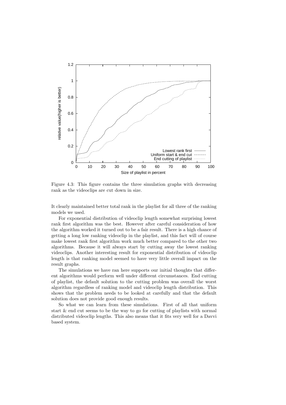

Figure 4.3: This figure contains the three simulation graphs with decreasing rank as the videoclips are cut down in size.

It clearly maintained better total rank in the playlist for all three of the ranking models we used.

For exponential distribution of videoclip length somewhat surprising lowest rank first algorithm was the best. However after careful consideration of how the algorithm worked it turned out to be a fair result. There is a high chance of getting a long low ranking videoclip in the playlist, and this fact will of course make lowest rank first algorithm work much better compared to the other two algorithms. Because it will always start by cutting away the lowest ranking videoclips. Another interesting result for exponential distribution of videoclip length is that ranking model seemed to have very little overall impact on the result graphs.

The simulations we have ran here supports our initial thoughts that different algorithms would perform well under different circumstances. End cutting of playlist, the default solution to the cutting problem was overall the worst algorithm regardless of ranking model and videoclip length distribution. This shows that the problem needs to be looked at carefully and that the default solution does not provide good enough results.

So what we can learn from these simulations. First of all that uniform start & end cut seems to be the way to go for cutting of playlists with normal distributed videoclip lengths. This also means that it fits very well for a Davvi based system.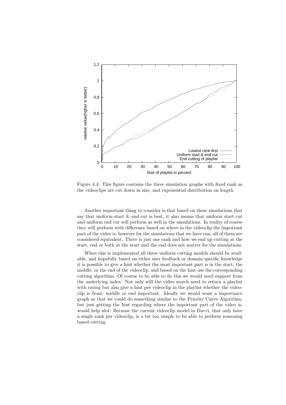

Figure 4.4: This figure contains the three simulation graphs with fixed rank as the videoclips are cut down in size, and exponential distribution on length.

Another important thing to consider is that based on these simulations that say that uniform start  $\&$  end cut is best, it also means that uniform start cut and uniform end cut will perform as well in the simulations. In reality of course they will perform with difference based on where in the videoclip the important part of the video is, however for the simulations that we have run, all of them are considered equivalent. There is just one rank and how we end up cutting at the start, end or both at the start and the end does not matter for the simulations.

When this is implemented all three uniform cutting models should be available, and hopefully based on either user feedback or domain specific knowledge it is possible to give a hint whether the most important part is in the start, the middle, or the end of the videoclip, and based on the hint use the corresponding cutting algorithm. Of course to be able to do this we would need support from the underlying index. Not only will the video search need to return a playlist with rating but also give a hint per videoclip in the playlist whether the videoclip is front, middle or end important. Ideally we would want a importance graph so that we could do something similar to the Priority Curve Algorithm, but just getting the hint regarding where the important part of the video is, would help alot. Because the current videoclip model in Davvi, that only have a single rank per videoclip, is a bit too simple to be able to perform reasoning based cutting.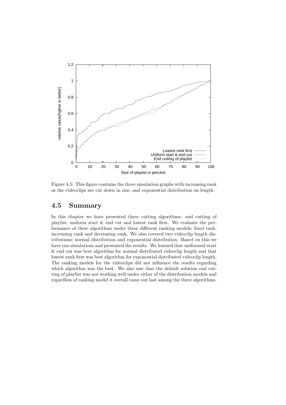

Figure 4.5: This figure contains the three simulation graphs with increasing rank as the videoclips are cut down in size, and exponential distribution on length.

## 4.5 Summary

In this chapter we have presented three cutting algorithms: end cutting of playlist, uniform start & end cut and lowest rank first. We evaluate the performance of these algorithms under three different ranking models; fixed rank, increasing rank and decreasing rank. We also covered two videoclip length distributions; normal distribution and exponential distribution. Based on this we have ran simulations and presented the results. We learned that uniformed start & end cut was best algorithm for normal distributed videoclip length and that lowest rank first was best algorithm for exponential distributed videoclip length. The ranking models for the videoclips did not influence the results regarding which algorithm was the best. We also saw that the default solution end cutting of playlist was not working well under either of the distribution models and regardless of ranking model it overall came out last among the three algorithms.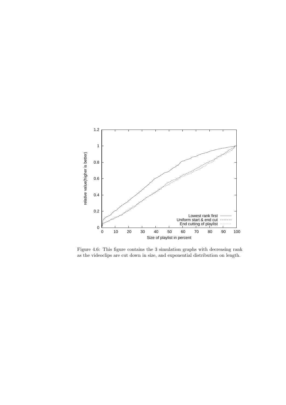

Figure 4.6: This figure contains the 3 simulation graphs with decreasing rank as the videoclips are cut down in size, and exponential distribution on length.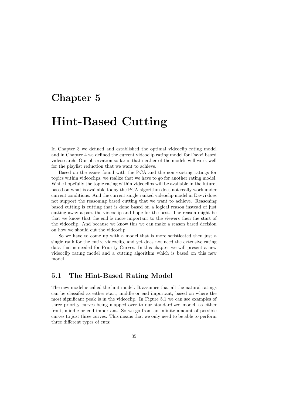## Chapter 5

## Hint-Based Cutting

In Chapter 3 we defined and established the optimal videoclip rating model and in Chapter 4 we defined the current videoclip rating model for Davvi based videosearch. Our observation so far is that neither of the models will work well for the playlist reduction that we want to achieve.

Based on the issues found with the PCA and the non existing ratings for topics within videoclips, we realize that we have to go for another rating model. While hopefully the topic rating within videoclips will be available in the future, based on what is available today the PCA algorithm does not really work under current conditions. And the current single ranked videoclip model in Davvi does not support the reasoning based cutting that we want to achieve. Reasoning based cutting is cutting that is done based on a logical reason instead of just cutting away a part the videoclip and hope for the best. The reason might be that we know that the end is more important to the viewers then the start of the videoclip. And because we know this we can make a reason based decision on how we should cut the videoclip.

So we have to come up with a model that is more sofisticated then just a single rank for the entire videoclip, and yet does not need the extensive rating data that is needed for Priority Curves. In this chapter we will present a new videoclip rating model and a cutting algorithm which is based on this new model.

### 5.1 The Hint-Based Rating Model

The new model is called the hint model. It assumes that all the natural ratings can be classifed as either start, middle or end important, based on where the most significant peak is in the videoclip. In Figure 5.1 we can see examples of three priority curves being mapped over to our standardized model, as either front, middle or end important. So we go from an infinite amount of possible curves to just three curves. This means that we only need to be able to perform three different types of cuts: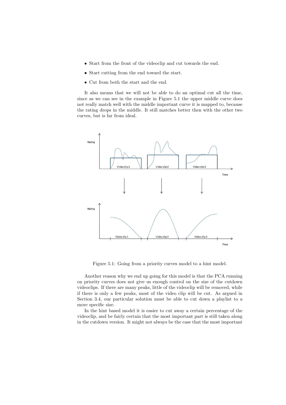- Start from the front of the videoclip and cut towards the end.
- Start cutting from the end toward the start.
- Cut from both the start and the end.

It also means that we will not be able to do an optimal cut all the time, since as we can see in the example in Figure 5.1 the upper middle curve does not really match well with the middle important curve it is mapped to, because the rating drops in the middle. It still matches better then with the other two curves, but is far from ideal.



Figure 5.1: Going from a priority curves model to a hint model.

Another reason why we end up going for this model is that the PCA running on priority curves does not give us enough control on the size of the cutdown videoclips. If there are many peaks, little of the videoclip will be removed, while if there is only a few peaks, most of the video clip will be cut. As argued in Section 3.4, our particular solution must be able to cut down a playlist to a more specific size.

In the hint based model it is easier to cut away a certain percentage of the videoclip, and be fairly certain that the most important part is still taken along in the cutdown version. It might not always be the case that the most important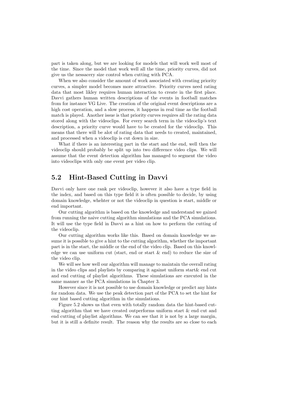part is taken along, but we are looking for models that will work well most of the time. Since the model that work well all the time, priority curves, did not give us the nessacery size control when cutting with PCA.

When we also consider the amount of work associated with creating priority curves, a simpler model becomes more attractive. Priority curves need rating data that most likley requires human interaction to create in the first place. Davvi gathers human written descriptions of the events in football matches from for instance VG Live. The creation of the original event descriptions are a high cost operation, and a slow process, it happens in real time as the football match is played. Another issue is that priority curves requires all the rating data stored along with the videoclips. For every search term in the videoclip's text description, a priority curve would have to be created for the videoclip. This means that there will be alot of rating data that needs to created, maintained, and processed when a videoclip is cut down in size.

What if there is an interesting part in the start and the end, well then the videoclip should probably be split up into two difference video clips. We will assume that the event detection algorithm has managed to segment the video into videoclips with only one event per video clip.

## 5.2 Hint-Based Cutting in Davvi

Davvi only have one rank per videoclip, however it also have a type field in the index, and based on this type field it is often possible to decide, by using domain knowledge, whehter or not the videoclip in question is start, middle or end important.

Our cutting algorithm is based on the knowledge and understand we gained from running the naive cutting algorithm simulations and the PCA simulations. It will use the type field in Davvi as a hint on how to perform the cutting of the videoclip.

Our cutting algorithm works like this. Based on domain knowledge we assume it is possible to give a hint to the cutting algorithm, whether the important part is in the start, the middle or the end of the video clip. Based on this knowledge we can use uniform cut (start, end or start & end) to reduce the size of the video clip.

We will see how well our algorithm will manage to maintain the overall rating in the video clips and playlists by comparing it against uniform start& end cut and end cutting of playlist algorithms. These simulations are executed in the same manner as the PCA simulations in Chapter 3.

However since it is not possible to use domain knowledge or predict any hints for random data. We use the peak detection part of the PCA to set the hint for our hint based cutting algorithm in the simulations.

Figure 5.2 shows us that even with totally random data the hint-based cutting algorithm that we have created outperforms uniform start & end cut and end cutting of playlist algorithms. We can see that it is not by a large margin, but it is still a definite result. The reason why the results are so close to each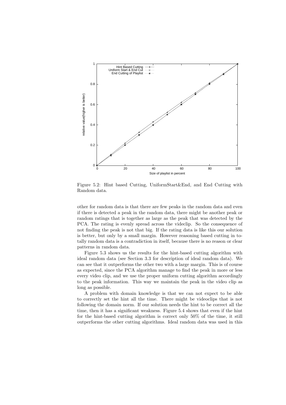

Figure 5.2: Hint based Cutting, UniformStart&End, and End Cutting with Random data.

other for random data is that there are few peaks in the random data and even if there is detected a peak in the random data, there might be another peak or random ratings that is together as large as the peak that was detected by the PCA. The rating is evenly spread across the videclip. So the consequence of not finding the peak is not that big. If the rating data is like this our solution is better, but only by a small margin. However reasoning based cutting in totally random data is a contradiction in itself, because there is no reason or clear patterns in random data.

Figure 5.3 shows us the results for the hint-based cutting algorithm with ideal random data (see Section 3.3 for description of ideal random data). We can see that it outperforms the other two with a large margin. This is of course as expected, since the PCA algorithm manage to find the peak in more or less every video clip, and we use the proper uniform cutting algorithm accordingly to the peak information. This way we maintain the peak in the video clip as long as possible.

A problem with domain knowledge is that we can not expect to be able to correctly set the hint all the time. There might be videoclips that is not following the domain norm. If our solution needs the hint to be correct all the time, then it has a significant weakness. Figure 5.4 shows that even if the hint for the hint-based cutting algorithm is correct only 50% of the time, it still outperforms the other cutting algorithms. Ideal random data was used in this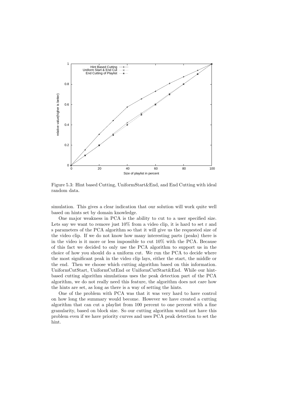

Figure 5.3: Hint based Cutting, UniformStart&End, and End Cutting with ideal random data.

simulation. This gives a clear indication that our solution will work quite well based on hints set by domain knowledge.

One major weakness in PCA is the ability to cut to a user specified size. Lets say we want to remove just  $10\%$  from a video clip, it is hard to set r and s parameters of the PCA algorithm so that it will give us the requested size of the video clip. If we do not know how many interesting parts (peaks) there is in the video is it more or less impossible to cut 10% with the PCA. Because of this fact we decided to only use the PCA algorithm to support us in the choice of how you should do a uniform cut. We run the PCA to decide where the most significant peak in the video clip lays, either the start, the middle or the end. Then we choose which cutting algorithm based on this information. UniformCutStart, UniformCutEnd or UniformCutStart&End. While our hintbased cutting algorithm simulations uses the peak detection part of the PCA algorithm, we do not really need this feature, the algorithm does not care how the hints are set, as long as there is a way of setting the hints.

One of the problem with PCA was that it was very hard to have control on how long the summary would become. However we have created a cutting algorithm that can cut a playlist from 100 percent to one percent with a fine granularity, based on block size. So our cutting algorithm would not have this problem even if we have priority curves and uses PCA peak detection to set the hint.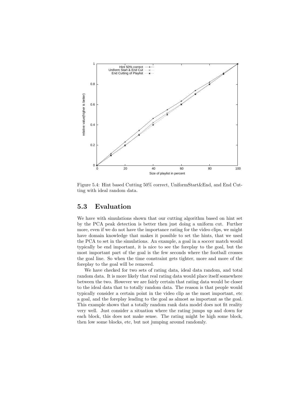

Figure 5.4: Hint based Cutting 50% correct, UniformStart&End, and End Cutting with ideal random data.

### 5.3 Evaluation

We have with simulations shown that our cutting algorithm based on hint set by the PCA peak detection is better then just doing a uniform cut. Further more, even if we do not have the importance rating for the video clips, we might have domain knowledge that makes it possible to set the hints, that we used the PCA to set in the simulations. An example, a goal in a soccer match would typically be end important, it is nice to see the foreplay to the goal, but the most important part of the goal is the few seconds where the football crosses the goal line. So when the time constraint gets tighter, more and more of the foreplay to the goal will be removed.

We have checked for two sets of rating data, ideal data random, and total random data. It is more likely that real rating data would place itself somewhere between the two. However we are fairly certain that rating data would be closer to the ideal data that to totally random data. The reason is that people would typically consider a certain point in the video clip as the most important, etc a goal, and the foreplay leading to the goal as almost as important as the goal. This example shows that a totally random rank data model does not fit reality very well. Just consider a situation where the rating jumps up and down for each block, this does not make sense. The rating might be high some block, then low some blocks, etc, but not jumping around randomly.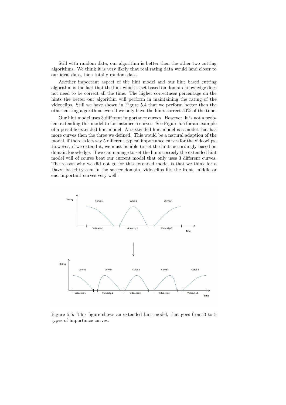Still with random data, our algorithm is better then the other two cutting algorithms. We think it is very likely that real rating data would land closer to our ideal data, then totally random data.

Another important aspect of the hint model and our hint based cutting algorithm is the fact that the hint which is set based on domain knowledge does not need to be correct all the time. The higher correctness percentage on the hints the better our algorithm will perform in maintaining the rating of the videoclips. Still we have shown in Figure 5.4 that we perform better then the other cutting algorithms even if we only have the hints correct 50% of the time.

Our hint model uses 3 different importance curves. However, it is not a problem extending this model to for instance 5 curves. See Figure 5.5 for an example of a possible extended hint model. An extended hint model is a model that has more curves then the three we defined. This would be a natural adaption of the model, if there is lets say 5 different typical importance curves for the videoclips. However, if we extend it, we must be able to set the hints accordingly based on domain knowledge. If we can manage to set the hints correcly the extended hint model will of course beat our current model that only uses 3 different curves. The reason why we did not go for this extended model is that we think for a Davvi based system in the soccer domain, vidoeclips fits the front, middle or end important curves very well.



Figure 5.5: This figure shows an extended hint model, that goes from 3 to 5 types of importance curves.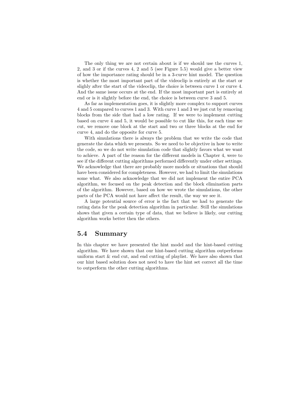The only thing we are not certain about is if we should use the curves 1, 2, and 3 or if the curves 4, 2 and 5 (see Figure 5.5) would give a better view of how the importance rating should be in a 3-curve hint model. The question is whether the most important part of the videoclip is entirely at the start or slighly after the start of the videoclip, the choice is between curve 1 or curve 4. And the same issue occurs at the end. If the most important part is entirely at end or is it slightly before the end, the choice is between curve 3 and 5.

As far as implementation goes, it is slightly more complex to support curves 4 and 5 compared to curves 1 and 3. With curve 1 and 3 we just cut by removing blocks from the side that had a low rating. If we were to implement cutting based on curve 4 and 5, it would be possible to cut like this, for each time we cut, we remove one block at the start and two or three blocks at the end for curve 4, and do the opposite for curve 5.

With simulations there is always the problem that we write the code that generate the data which we presents. So we need to be objective in how to write the code, so we do not write simulation code that slightly favors what we want to achieve. A part of the reason for the different models in Chapter 4, were to see if the different cutting algorithms performed differently under other settings. We acknowledge that there are probably more models or situations that should have been considered for completeness. However, we had to limit the simulations some what. We also acknowledge that we did not implement the entire PCA algorithm, we focused on the peak detection and the block elimination parts of the algorithm. However, based on how we wrote the simulations, the other parts of the PCA would not have affect the result, the way we see it.

A large potential source of error is the fact that we had to generate the rating data for the peak detection algorithm in particular. Still the simulations shows that given a certain type of data, that we believe is likely, our cutting algorithm works better then the others.

### 5.4 Summary

In this chapter we have presented the hint model and the hint-based cutting algorithm. We have shown that our hint-based cutting algorithm outperforms uniform start & end cut, and end cutting of playlist. We have also shown that our hint based solution does not need to have the hint set correct all the time to outperform the other cutting algorithms.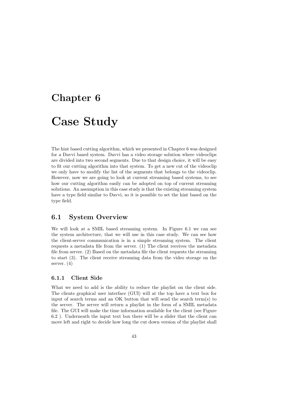# Chapter 6 Case Study

The hint based cutting algorithm, which we presented in Chapter 6 was designed for a Davvi based system. Davvi has a video storage solution where videoclips are divided into two second segments. Due to that design choice, it will be easy to fit our cutting algorithm into that system. To get a new cut of the videoclip we only have to modify the list of the segments that belongs to the videoclip. However, now we are going to look at current streaming based systems, to see how our cutting algorithm easily can be adopted on top of current streaming solutions. An assumption in this case study is that the existing streaming system have a type field similar to Davvi, so it is possible to set the hint based on the type field.

## 6.1 System Overview

We will look at a SMIL based streaming system. In Figure 6.1 we can see the system architecture, that we will use in this case study. We can see how the client-server communication is in a simple streaming system. The client requests a metadata file from the server. (1) The client receives the metadata file from server. (2) Based on the metadata file the client requests the streaming to start (3). The client receive streaming data from the video storage on the server. (4)

#### 6.1.1 Client Side

What we need to add is the ability to reduce the playlist on the client side. The clients graphical user interface (GUI) will at the top have a text box for input of search terms and an OK button that will send the search term(s) to the server. The server will return a playlist in the form of a SMIL metadata file. The GUI will make the time information available for the client (see Figure 6.2 ). Underneath the input text box there will be a slider that the client can move left and right to decide how long the cut down version of the playlist shall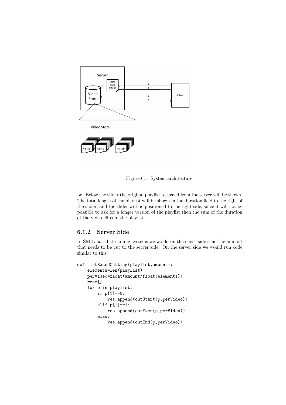

Figure 6.1: System architecture.

be. Below the silder the original playlist returned from the server will be shown. The total length of the playlist will be shown in the duration field to the right of the slider, and the slider will be positioned to the right side, since it will not be possible to ask for a longer version of the playlist then the sum of the duration of the video clips in the playlist.

#### 6.1.2 Server Side

In SMIL based streaming systems we would on the client side send the amount that needs to be cut to the server side. On the server side we would run code similar to this:

```
def hintBasedCutting(playlist,amount):
   elements=len(playlist)
   perVideo=float(amount/float(elements))
   res=[]
   for p in playlist:
        if p[1]==0:
            res.append(cutStart(p,perVideo))
        elif p[1]==1:
            res.append(cutEven(p,perVideo))
        else:
            res.append(cutEnd(p,perVideo))
```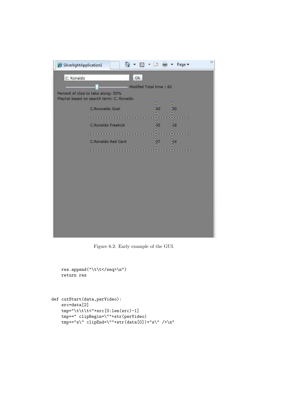| SilverlightApplication1 | 合                                                                                |                        | □ (■ ▼ Page ▼ | 沙 |
|-------------------------|----------------------------------------------------------------------------------|------------------------|---------------|---|
| C. Ronaldo              | Ok                                                                               |                        |               |   |
|                         |                                                                                  | Modifed Total time: 62 |               |   |
|                         | Percent of clips to take along: 50%<br>Playlist based on search term: C. Ronaldo |                        |               |   |
|                         | C.Ronoaldo Goal                                                                  | 50                     | 30            |   |
|                         | .<br>C.Ronaldo Freekick                                                          | 35                     | 18            |   |
|                         | <u> Barat da barat da barat da ba</u>                                            |                        |               |   |
|                         | C.Ronaldo Red Card                                                               | 27                     | 14            |   |
|                         |                                                                                  |                        |               |   |
|                         |                                                                                  |                        |               |   |

Figure 6.2: Early example of the GUI.

```
res.append("\t\t</seq>\n")
    return res
def cutStart(data,perVideo):
```

```
src=data[2]
tmp="\t\t\t<"+src[0:len(src)-1]
tmp+=" clipBegin=\""+str(perVideo)
tmp+= "s\\" clipEnd=\\" "+str(data[0])+ "s\\" />\n"
```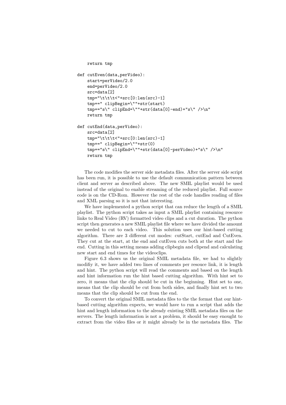```
return tmp
def cutEven(data,perVideo):
    start=perVideo/2.0
    end=perVideo/2.0
    src=data[2]
    tmp="\t\t\t<"+src[0:len(src)-1]
    tmp+=" clipBegin=\""+str(start)
    tmp+= "s\\" clibEnd=\\"++str(data[0]-end)+ "s\\" />\n<math>n</math>"return tmp
def cutEnd(data,perVideo):
    src=data[2]
    tmp="\t\t\t<"+src[0:len(src)-1]
    tmp+=" clipBegin=\""+str(0)
    tmp+="s\" clipEnd=\""+str(data[0]-perVideo)+"s\" />\n"
    return tmp
```
The code modifies the server side metadata files. After the server side script has been run, it is possible to use the default communication pattern between client and server as described above. The new SMIL playlist would be used instead of the original to enable streaming of the reduced playlist. Full source code is on the CD-Rom. However the rest of the code handles reading of files and XML parsing so it is not that interesting.

We have implemented a python script that can reduce the length of a SMIL playlist. The python script takes as input a SMIL playlist containing resource links to Real Video (RV) formatted video clips and a cut duration. The python script then generates a new SMIL playlist file where we have divided the amount we needed to cut to each video. This solution uses our hint-based cutting algorithm. There are 3 different cut modes: cutStart, cutEnd and CutEven. They cut at the start, at the end and cutEven cuts both at the start and the end. Cutting in this setting means adding clipbegin and clipend and calculating new start and end times for the videoclips.

Figure 6.3 shows us the original SMIL metadata file, we had to slightly modifiy it, we have added two lines of comments per resouce link, it is length and hint. The python script will read the comments and based on the length and hint information run the hint based cutting algorithm. With hint set to zero, it means that the clip should be cut in the beginning. Hint set to one, means that the clip should be cut from both sides, and finally hint set to two means that the clip should be cut from the end.

To convert the original SMIL metadata files to the the format that our hintbased cutting algorithm expects, we would have to run a script that adds the hint and length information to the already existing SMIL metadata files on the servers. The length information is not a problem, it should be easy enought to extract from the video files or it might already be in the metadata files. The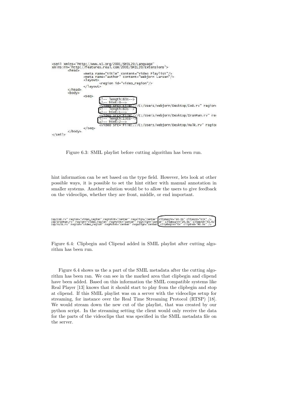

Figure 6.3: SMIL playlist before cutting algorithm has been run.

hint information can be set based on the type field. However, lets look at other possible ways, it is possible to set the hint either with manual annotation in smaller systems. Another solution would be to allow the users to give feedback on the videoclips, whether they are front, middle, or end important.

| cop/CoD.rv" region="video_region" regPoint="center" regAlign="center" clipBegin="40.0s" clipEnd="63s" />    |  |
|-------------------------------------------------------------------------------------------------------------|--|
| "cop/IronMan.rv" region="video_region" regPoint="center" regAlign="center" clipBegin="20.0s" clipEnd="43.0s |  |
| cop/Hulk.rv" region="video_region" regPoint="center" regAlign="center  clipBegin="0s" clipEnd="90.0s" />    |  |
|                                                                                                             |  |

Figure 6.4: Clipbegin and Clipend added in SMIL playlist after cutting algorithm has been run.

Figure 6.4 shows us the a part of the SMIL metadata after the cutting algorithm has been ran. We can see in the marked area that clipbegin and clipend have been added. Based on this information the SMIL compatible systems like Real Player [13] knows that it should start to play from the clipbegin and stop at clipend. If this SMIL playlist was on a server with the videoclips setup for streaming, for instance over the Real Time Streaming Protocol (RTSP) [18]. We would stream down the new cut of the playlist, that was created by our python script. In the streaming setting the client would only receive the data for the parts of the videoclips that was specified in the SMIL metadata file on the server.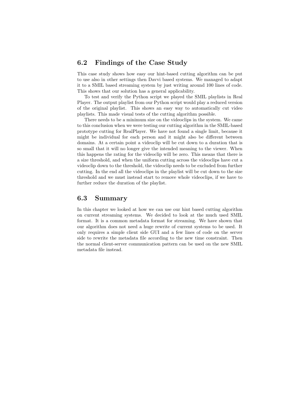## 6.2 Findings of the Case Study

This case study shows how easy our hint-based cutting algorithm can be put to use also in other settings then Davvi based systems. We managed to adapt it to a SMIL based streaming system by just writing around 100 lines of code. This shows that our solution has a general applicability.

To test and verify the Python script we played the SMIL playlists in Real Player. The output playlist from our Python script would play a reduced version of the original playlist. This shows an easy way to automatically cut video playlists. This made visual tests of the cutting algorithm possible.

There needs to be a minimum size on the videoclips in the system. We came to this conclusion when we were testing our cutting algorithm in the SMIL-based prototype cutting for RealPlayer. We have not found a single limit, because it might be individual for each person and it might also be different between domains. At a certain point a videoclip will be cut down to a duration that is so small that it will no longer give the intended meaning to the viewer. When this happens the rating for the videoclip will be zero. This means that there is a size threshold, and when the uniform cutting across the videoclips have cut a videoclip down to the threshold, the videoclip needs to be excluded from further cutting. In the end all the videoclips in the playlist will be cut down to the size threshold and we must instead start to remove whole videoclips, if we have to further reduce the duration of the playlist.

## 6.3 Summary

In this chapter we looked at how we can use our hint based cutting algorithm on current streaming systems. We decided to look at the much used SMIL format. It is a common metadata format for streaming. We have shown that our algorithm does not need a huge rewrite of current systems to be used. It only requires a simple client side GUI and a few lines of code on the server side to rewrite the metadata file according to the new time constraint. Then the normal client-server communication pattern can be used on the new SMIL metadata file instead.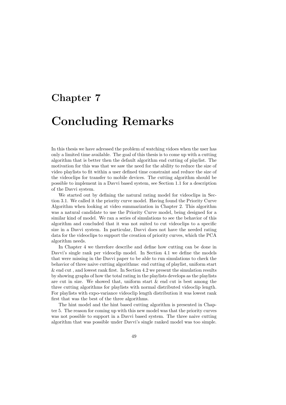## Chapter 7

## Concluding Remarks

In this thesis we have adressed the problem of watching vidoes when the user has only a limited time available. The goal of this thesis is to come up with a cutting algorithm that is better then the default algorithm end cutting of playlist. The motivation for this was that we saw the need for the ability to reduce the size of video playlists to fit within a user defined time constraint and reduce the size of the videoclips for transfer to mobile devices. The cutting algorithm should be possible to implement in a Davvi based system, see Section 1.1 for a description of the Davvi system.

We started out by defining the natural rating model for videoclips in Section 3.1. We called it the priority curve model. Having found the Priority Curve Algorithm when looking at video summarization in Chapter 2. This algorithm was a natural candidate to use the Priority Curve model, being designed for a similar kind of model. We ran a series of simulations to see the behavior of this algorithm and concluded that it was not suited to cut videoclips to a specific size in a Davvi system. In particular, Davvi does not have the needed rating data for the videoclips to support the creation of priority curves, which the PCA algorithm needs.

In Chapter 4 we therefore describe and define how cutting can be done in Davvi's single rank per videoclip model. In Section 4.1 we define the models that were missing in the Davvi paper to be able to run simulations to check the behavior of three naive cutting algorithms: end cutting of playlist, uniform start & end cut , and lowest rank first. In Section 4.2 we present the simulation results by showing graphs of how the total rating in the playlists develops as the playlists are cut in size. We showed that, uniform start  $\&$  end cut is best among the three cutting algorithms for playlists with normal distributed videoclip length. For playlists with expo-variance videoclip length distribution it was lowest rank first that was the best of the three algorithms.

The hint model and the hint based cutting algorithm is presented in Chapter 5. The reason for coming up with this new model was that the priority curves was not possible to support in a Davvi based system. The three naive cutting algorithm that was possible under Davvi's single ranked model was too simple.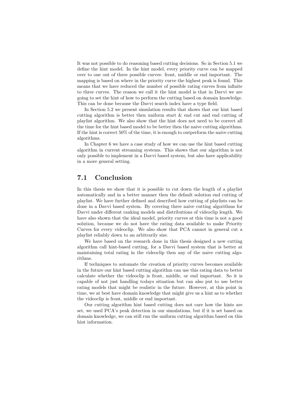It was not possible to do reasoning based cutting decisions. So in Section 5.1 we define the hint model. In the hint model, every priority curve can be mapped over to one out of three possible curves: front, middle or end important. The mapping is based on where in the priority curve the highest peak is found. This means that we have reduced the number of possible rating curves from infinite to three curves. The reason we call it the hint model is that in Davvi we are going to set the hint of how to perform the cutting based on domain knowledge. This can be done because the Davvi search index have a type field.

In Section 5.2 we present simulation results that shows that our hint based cutting algorithm is better then uniform start & end cut and end cutting of playlist algorithm. We also show that the hint does not need to be correct all the time for the hint based model to be better then the naive cutting algorithms. If the hint is correct 50% of the time, it is enough to outperform the naive cutting algorithms.

In Chapter 6 we have a case study of how we can use the hint based cutting algorithm in current streaming systems. This shows that our algorithm is not only possible to implement in a Davvi based system, but also have applicability in a more general setting.

## 7.1 Conclusion

In this thesis we show that it is possible to cut down the length of a playlist automatically and in a better manner then the default solution end cutting of playlist. We have further defined and described how cutting of playlists can be done in a Davvi based system. By covering three naive cutting algorithms for Davvi under different ranking models and distributions of videoclip length. We have also shown that the ideal model, priority curves at this time is not a good solution, because we do not have the rating data available to make Priority Curves for every videoclip. We also show that PCA cannot in general cut a playlist reliably down to an arbitrarily size.

We have based on the research done in this thesis designed a new cutting algorithm call hint-based cutting, for a Davvi based system that is better at maintaining total rating in the videoclip then any of the naive cutting algorithms.

If techniques to automate the creation of priority curves becomes available in the future our hint based cutting algorithm can use this rating data to better calculate whether the videoclip is front, middle, or end important. So it is capable of not just handling todays situation but can also put to use better rating models that might be realistic in the future. However, at this point in time, we at best have domain knowledge that might give us a hint as to whether the videoclip is front, middle or end important.

Our cutting algorithm hint based cutting does not care how the hints are set, we used PCA's peak detection in our simulations, but if it is set based on domain knowledge, we can still run the uniform cutting algorithm based on this hint information.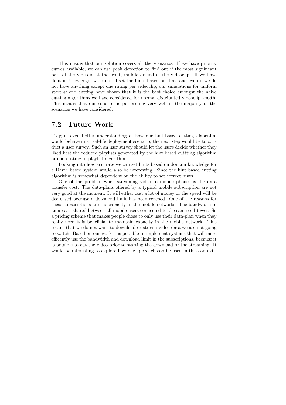This means that our solution covers all the scenarios. If we have priority curves available, we can use peak detection to find out if the most significant part of the video is at the front, middle or end of the videoclip. If we have domain knowledge, we can still set the hints based on that, and even if we do not have anything except one rating per videoclip, our simulations for uniform start & end cutting have shown that it is the best choice amongst the naive cutting algorithms we have considered for normal distributed videoclip length. This means that our solution is performing very well in the majority of the scenarios we have considered.

## 7.2 Future Work

To gain even better understanding of how our hint-based cutting algorithm would behave in a real-life deployment scenario, the next step would be to conduct a user survey. Such an user survey should let the users decide whether they liked best the reduced playlists generated by the hint based cuttting algorithm or end cutting of playlist algorithm.

Looking into how accurate we can set hints based on domain knowledge for a Davvi based system would also be interesting. Since the hint based cutting algorithm is somewhat dependent on the ability to set correct hints.

One of the problem when streaming video to mobile phones is the data transfer cost. The data-plans offered by a typical mobile subscription are not very good at the moment. It will either cost a lot of money or the speed will be decreased because a download limit has been reached. One of the reasons for these subscriptions are the capacity in the mobile networks. The bandwidth in an area is shared between all mobile users connected to the same cell tower. So a pricing scheme that makes people chose to only use their data-plan when they really need it is beneficial to maintain capacity in the mobile network. This means that we do not want to download or stream video data we are not going to watch. Based on our work it is possible to implement systems that will more efficently use the bandwidth and download limit in the subscriptions, because it is possible to cut the video prior to starting the download or the streaming. It would be interesting to explore how our approach can be used in this context.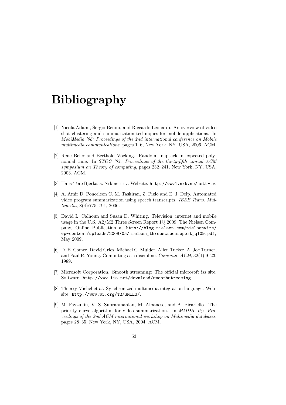## Bibliography

- [1] Nicola Adami, Sergio Benini, and Riccardo Leonardi. An overview of video shot clustering and summarization techniques for mobile applications. In *MobiMedia '06: Proceedings of the 2nd international conference on Mobile multimedia communications*, pages 1–6, New York, NY, USA, 2006. ACM.
- [2] Rene Beier and Berthold Vöcking. Random knapsack in expected polynomial time. In *STOC '03: Proceedings of the thirty-fifth annual ACM symposium on Theory of computing*, pages 232–241, New York, NY, USA, 2003. ACM.
- [3] Hans-Tore Bjerkaas. Nrk nett tv. Website. http://www1.nrk.no/nett-tv.
- [4] A. Amir D. Ponceleon C. M. Taskiran, Z. Pizlo and E. J. Delp. Automated video program summarization using speech transcripts. *IEEE Trans. Multimedia*, 8(4):775–791, 2006.
- [5] David L. Calhoun and Susan D. Whiting. Television, internet and mobile usage in the U.S. A2/M2 Three Screen Report 1Q 2009, The Nielsen Company, Online Publication at http://blog.nielsen.com/nielsenwire/ wp-content/uploads/2009/05/nielsen\_threescreenreport\_q109.pdf, May 2009.
- [6] D. E. Comer, David Gries, Michael C. Mulder, Allen Tucker, A. Joe Turner, and Paul R. Young. Computing as a discipline. *Commun. ACM*, 32(1):9–23, 1989.
- [7] Microsoft Corporation. Smooth streaming: The official microsoft iss site. Software. http://www.iis.net/download/smoothstreaming.
- [8] Thierry Michel et al. Synchronized multimedia integration language. Website. http://www.w3.org/TR/SMIL3/.
- [9] M. Fayzullin, V. S. Subrahmanian, M. Albanese, and A. Picariello. The priority curve algorithm for video summarization. In *MMDB '04: Proceedings of the 2nd ACM international workshop on Multimedia databases*, pages 28–35, New York, NY, USA, 2004. ACM.